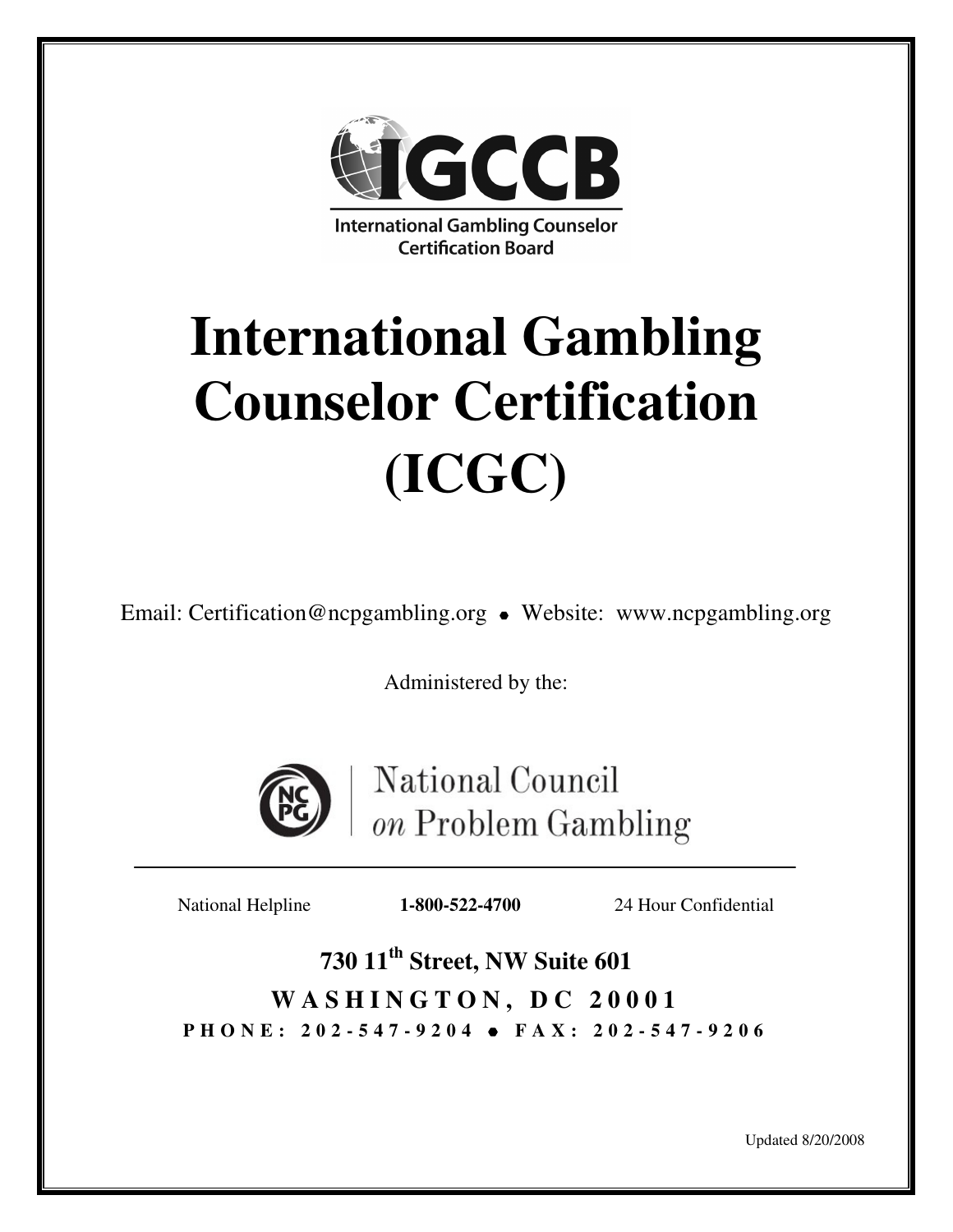

# **International Gambling Counselor Certification (ICGC)**

Email: Certification@ncpgambling.org • Website: www.ncpgambling.org

Administered by the:



National Council on Problem Gambling

ֺ֝֡

National Helpline **1-800-522-4700** 24 Hour Confidential

**730 11th Street, NW Suite 601**  WASHINGTON, DC 20001 **P H O N E : 2 0 2 - 5 4 7 - 9 2 0 4 F A X : 2 0 2 - 5 4 7 - 9 2 0 6**

Updated 8/20/2008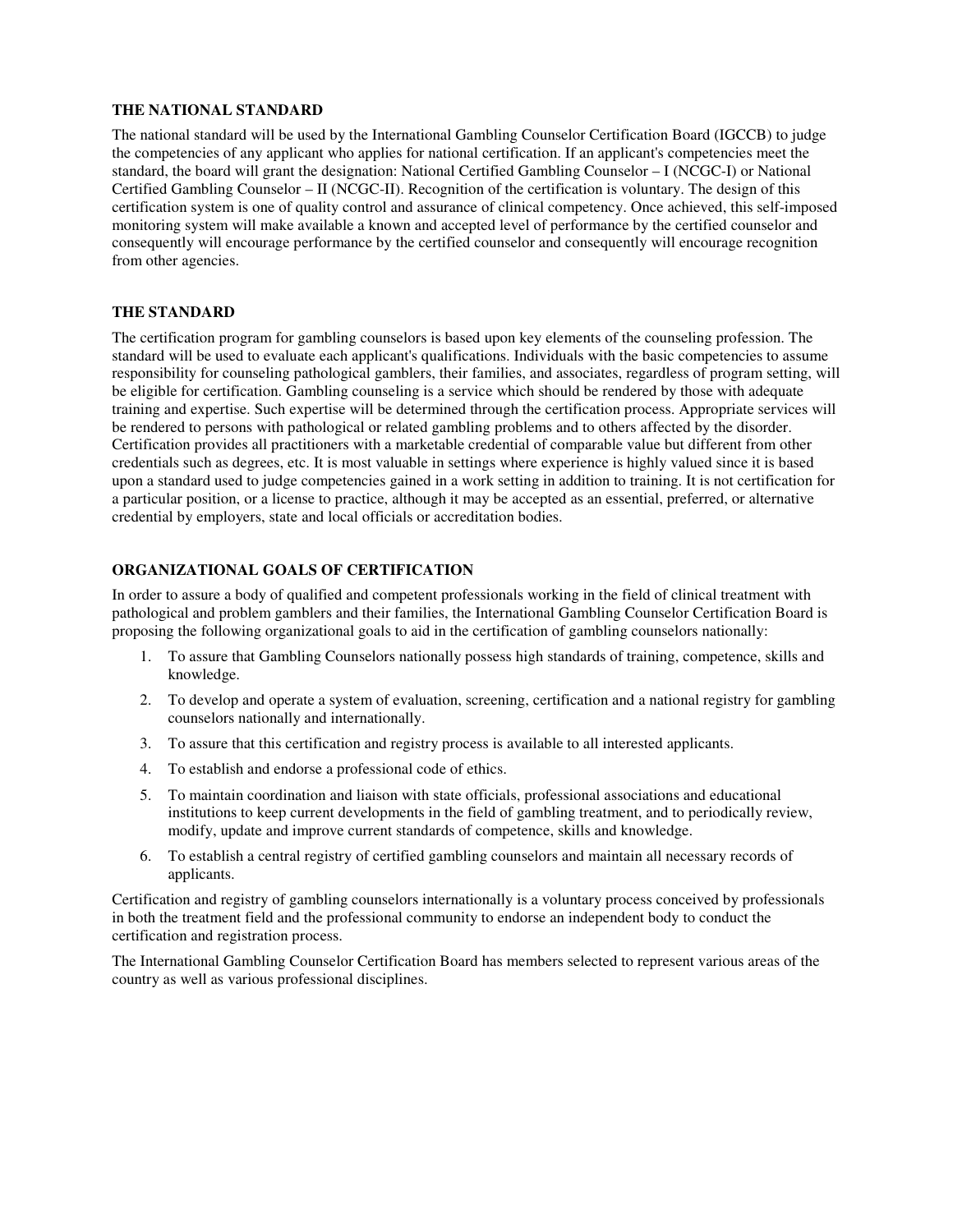#### **THE NATIONAL STANDARD**

The national standard will be used by the International Gambling Counselor Certification Board (IGCCB) to judge the competencies of any applicant who applies for national certification. If an applicant's competencies meet the standard, the board will grant the designation: National Certified Gambling Counselor – I (NCGC-I) or National Certified Gambling Counselor – II (NCGC-II). Recognition of the certification is voluntary. The design of this certification system is one of quality control and assurance of clinical competency. Once achieved, this self-imposed monitoring system will make available a known and accepted level of performance by the certified counselor and consequently will encourage performance by the certified counselor and consequently will encourage recognition from other agencies.

#### **THE STANDARD**

The certification program for gambling counselors is based upon key elements of the counseling profession. The standard will be used to evaluate each applicant's qualifications. Individuals with the basic competencies to assume responsibility for counseling pathological gamblers, their families, and associates, regardless of program setting, will be eligible for certification. Gambling counseling is a service which should be rendered by those with adequate training and expertise. Such expertise will be determined through the certification process. Appropriate services will be rendered to persons with pathological or related gambling problems and to others affected by the disorder. Certification provides all practitioners with a marketable credential of comparable value but different from other credentials such as degrees, etc. It is most valuable in settings where experience is highly valued since it is based upon a standard used to judge competencies gained in a work setting in addition to training. It is not certification for a particular position, or a license to practice, although it may be accepted as an essential, preferred, or alternative credential by employers, state and local officials or accreditation bodies.

#### **ORGANIZATIONAL GOALS OF CERTIFICATION**

In order to assure a body of qualified and competent professionals working in the field of clinical treatment with pathological and problem gamblers and their families, the International Gambling Counselor Certification Board is proposing the following organizational goals to aid in the certification of gambling counselors nationally:

- 1. To assure that Gambling Counselors nationally possess high standards of training, competence, skills and knowledge.
- 2. To develop and operate a system of evaluation, screening, certification and a national registry for gambling counselors nationally and internationally.
- 3. To assure that this certification and registry process is available to all interested applicants.
- 4. To establish and endorse a professional code of ethics.
- 5. To maintain coordination and liaison with state officials, professional associations and educational institutions to keep current developments in the field of gambling treatment, and to periodically review, modify, update and improve current standards of competence, skills and knowledge.
- 6. To establish a central registry of certified gambling counselors and maintain all necessary records of applicants.

Certification and registry of gambling counselors internationally is a voluntary process conceived by professionals in both the treatment field and the professional community to endorse an independent body to conduct the certification and registration process.

The International Gambling Counselor Certification Board has members selected to represent various areas of the country as well as various professional disciplines.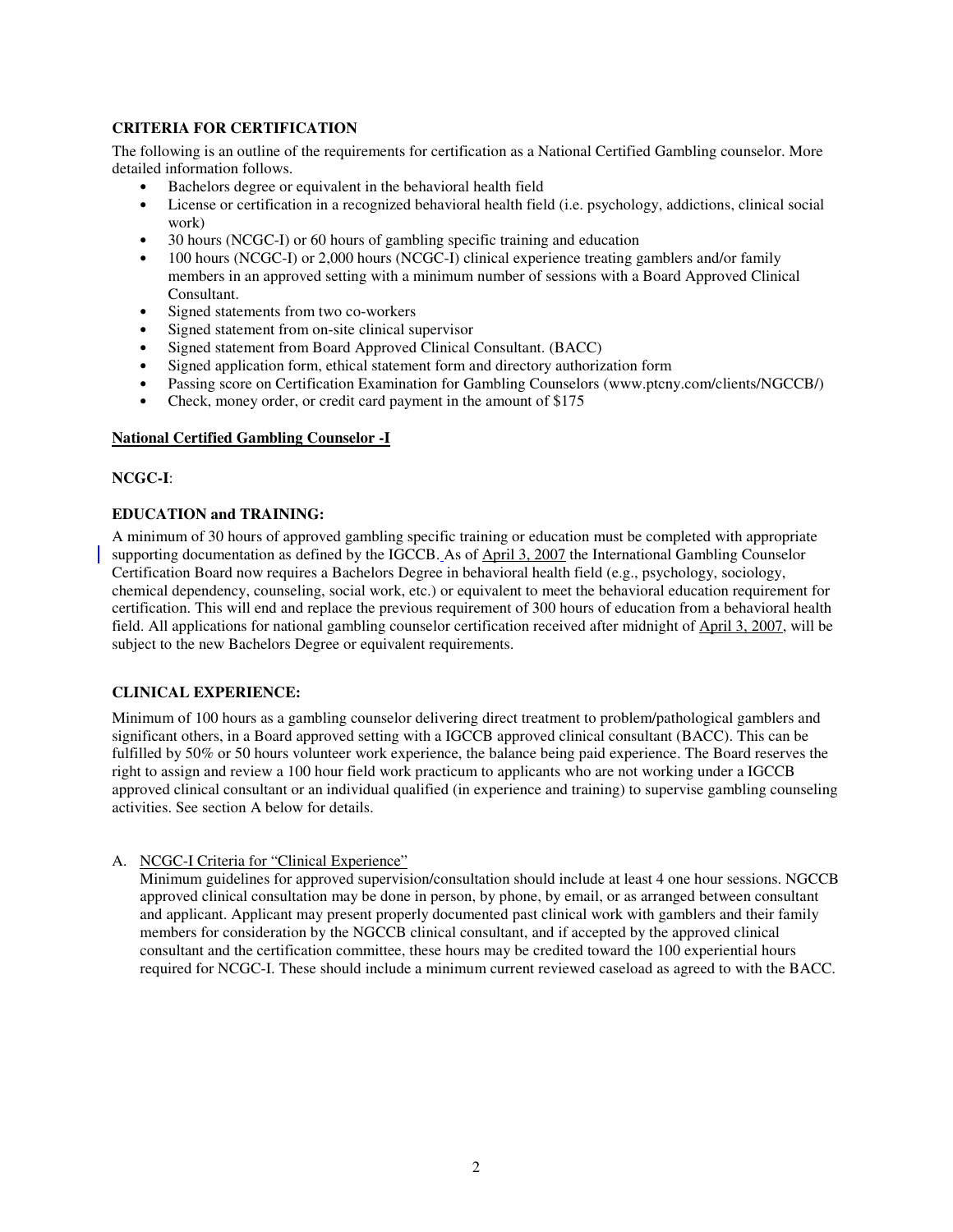#### **CRITERIA FOR CERTIFICATION**

The following is an outline of the requirements for certification as a National Certified Gambling counselor. More detailed information follows.

- Bachelors degree or equivalent in the behavioral health field
- License or certification in a recognized behavioral health field (i.e. psychology, addictions, clinical social work)
- 30 hours (NCGC-I) or 60 hours of gambling specific training and education
- 100 hours (NCGC-I) or 2,000 hours (NCGC-I) clinical experience treating gamblers and/or family members in an approved setting with a minimum number of sessions with a Board Approved Clinical Consultant.
- Signed statements from two co-workers
- Signed statement from on-site clinical supervisor
- Signed statement from Board Approved Clinical Consultant. (BACC)
- Signed application form, ethical statement form and directory authorization form
- Passing score on Certification Examination for Gambling Counselors (www.ptcny.com/clients/NGCCB/)
- Check, money order, or credit card payment in the amount of \$175

#### **National Certified Gambling Counselor -I**

#### **NCGC-I**:

#### **EDUCATION and TRAINING:**

A minimum of 30 hours of approved gambling specific training or education must be completed with appropriate supporting documentation as defined by the IGCCB. As of April 3, 2007 the International Gambling Counselor Certification Board now requires a Bachelors Degree in behavioral health field (e.g., psychology, sociology, chemical dependency, counseling, social work, etc.) or equivalent to meet the behavioral education requirement for certification. This will end and replace the previous requirement of 300 hours of education from a behavioral health field. All applications for national gambling counselor certification received after midnight of April 3, 2007, will be subject to the new Bachelors Degree or equivalent requirements.

#### **CLINICAL EXPERIENCE:**

Minimum of 100 hours as a gambling counselor delivering direct treatment to problem/pathological gamblers and significant others, in a Board approved setting with a IGCCB approved clinical consultant (BACC). This can be fulfilled by 50% or 50 hours volunteer work experience, the balance being paid experience. The Board reserves the right to assign and review a 100 hour field work practicum to applicants who are not working under a IGCCB approved clinical consultant or an individual qualified (in experience and training) to supervise gambling counseling activities. See section A below for details.

#### A. NCGC-I Criteria for "Clinical Experience"

Minimum guidelines for approved supervision/consultation should include at least 4 one hour sessions. NGCCB approved clinical consultation may be done in person, by phone, by email, or as arranged between consultant and applicant. Applicant may present properly documented past clinical work with gamblers and their family members for consideration by the NGCCB clinical consultant, and if accepted by the approved clinical consultant and the certification committee, these hours may be credited toward the 100 experiential hours required for NCGC-I. These should include a minimum current reviewed caseload as agreed to with the BACC.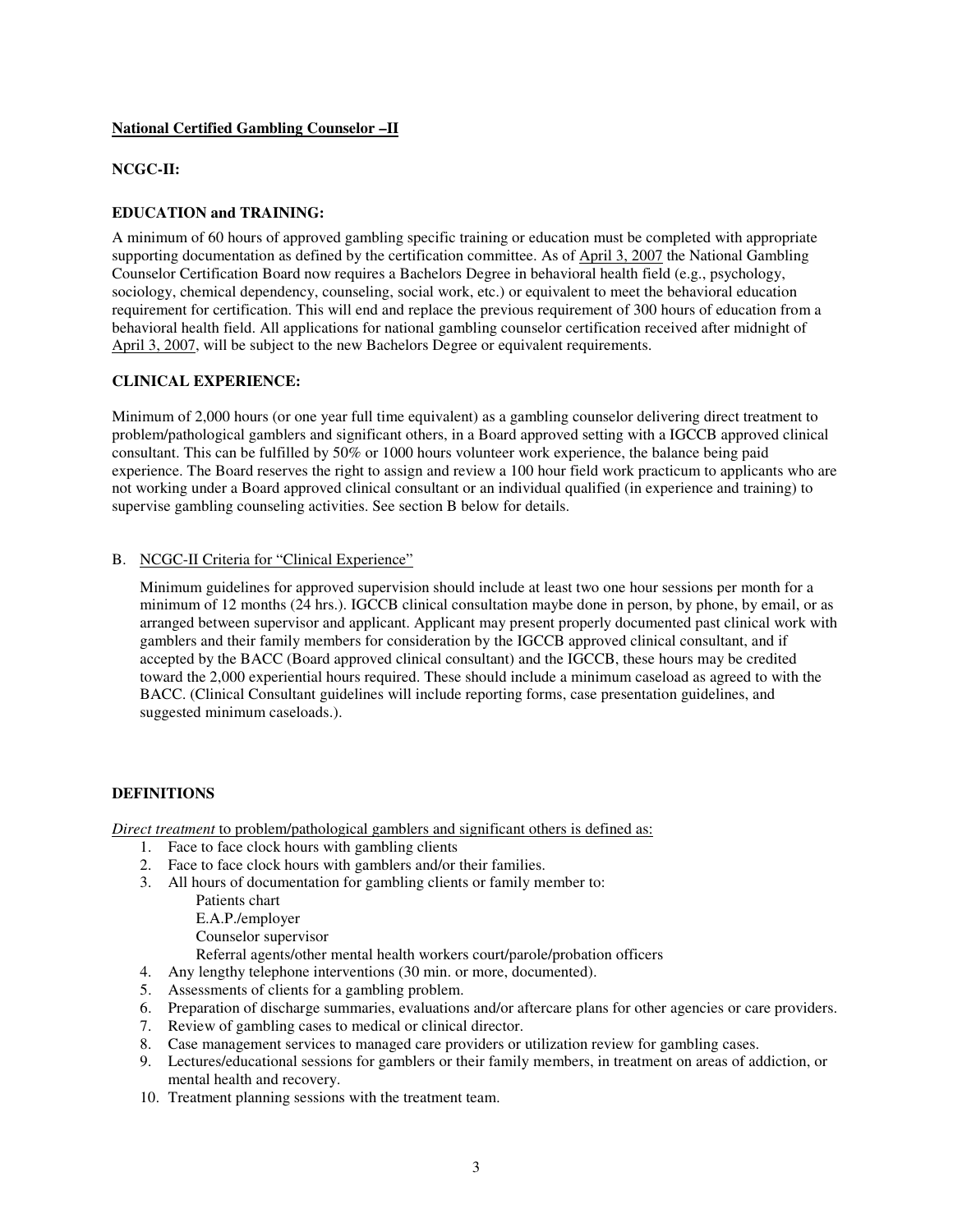#### **National Certified Gambling Counselor –II**

#### **NCGC-II:**

#### **EDUCATION and TRAINING:**

A minimum of 60 hours of approved gambling specific training or education must be completed with appropriate supporting documentation as defined by the certification committee. As of April 3, 2007 the National Gambling Counselor Certification Board now requires a Bachelors Degree in behavioral health field (e.g., psychology, sociology, chemical dependency, counseling, social work, etc.) or equivalent to meet the behavioral education requirement for certification. This will end and replace the previous requirement of 300 hours of education from a behavioral health field. All applications for national gambling counselor certification received after midnight of April 3, 2007, will be subject to the new Bachelors Degree or equivalent requirements.

#### **CLINICAL EXPERIENCE:**

Minimum of 2,000 hours (or one year full time equivalent) as a gambling counselor delivering direct treatment to problem/pathological gamblers and significant others, in a Board approved setting with a IGCCB approved clinical consultant. This can be fulfilled by 50% or 1000 hours volunteer work experience, the balance being paid experience. The Board reserves the right to assign and review a 100 hour field work practicum to applicants who are not working under a Board approved clinical consultant or an individual qualified (in experience and training) to supervise gambling counseling activities. See section B below for details.

#### B. NCGC-II Criteria for "Clinical Experience"

Minimum guidelines for approved supervision should include at least two one hour sessions per month for a minimum of 12 months (24 hrs.). IGCCB clinical consultation maybe done in person, by phone, by email, or as arranged between supervisor and applicant. Applicant may present properly documented past clinical work with gamblers and their family members for consideration by the IGCCB approved clinical consultant, and if accepted by the BACC (Board approved clinical consultant) and the IGCCB, these hours may be credited toward the 2,000 experiential hours required. These should include a minimum caseload as agreed to with the BACC. (Clinical Consultant guidelines will include reporting forms, case presentation guidelines, and suggested minimum caseloads.).

#### **DEFINITIONS**

*Direct treatment* to problem/pathological gamblers and significant others is defined as:

- 1. Face to face clock hours with gambling clients
- 2. Face to face clock hours with gamblers and/or their families.
- 3. All hours of documentation for gambling clients or family member to:
	- Patients chart

E.A.P./employer

Counselor supervisor

Referral agents/other mental health workers court/parole/probation officers

- 4. Any lengthy telephone interventions (30 min. or more, documented).
- 5. Assessments of clients for a gambling problem.
- 6. Preparation of discharge summaries, evaluations and/or aftercare plans for other agencies or care providers.
- 7. Review of gambling cases to medical or clinical director.
- 8. Case management services to managed care providers or utilization review for gambling cases.
- 9. Lectures/educational sessions for gamblers or their family members, in treatment on areas of addiction, or mental health and recovery.
- 10. Treatment planning sessions with the treatment team.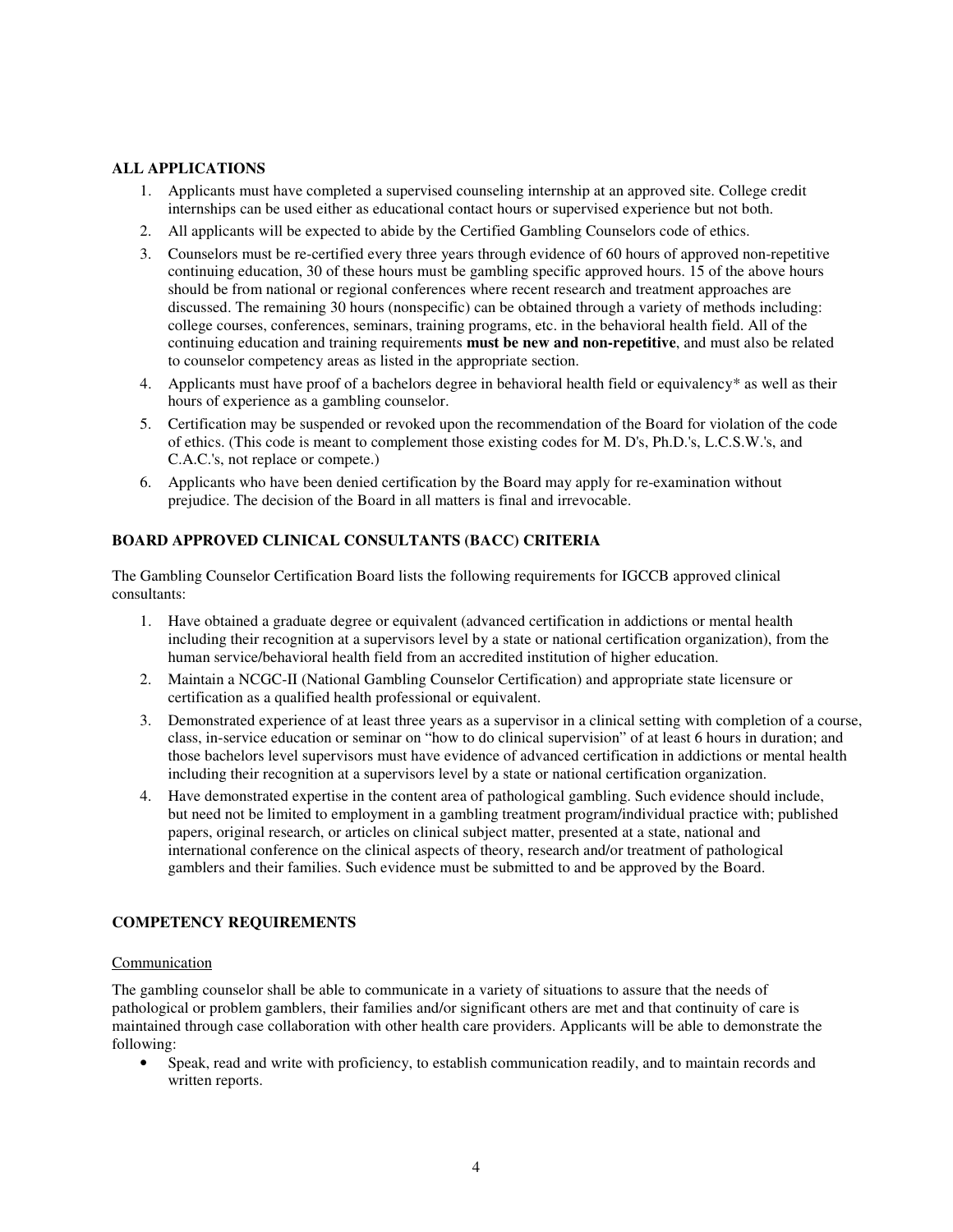#### **ALL APPLICATIONS**

- 1. Applicants must have completed a supervised counseling internship at an approved site. College credit internships can be used either as educational contact hours or supervised experience but not both.
- 2. All applicants will be expected to abide by the Certified Gambling Counselors code of ethics.
- 3. Counselors must be re-certified every three years through evidence of 60 hours of approved non-repetitive continuing education, 30 of these hours must be gambling specific approved hours. 15 of the above hours should be from national or regional conferences where recent research and treatment approaches are discussed. The remaining 30 hours (nonspecific) can be obtained through a variety of methods including: college courses, conferences, seminars, training programs, etc. in the behavioral health field. All of the continuing education and training requirements **must be new and non-repetitive**, and must also be related to counselor competency areas as listed in the appropriate section.
- 4. Applicants must have proof of a bachelors degree in behavioral health field or equivalency\* as well as their hours of experience as a gambling counselor.
- 5. Certification may be suspended or revoked upon the recommendation of the Board for violation of the code of ethics. (This code is meant to complement those existing codes for M. D's, Ph.D.'s, L.C.S.W.'s, and C.A.C.'s, not replace or compete.)
- 6. Applicants who have been denied certification by the Board may apply for re-examination without prejudice. The decision of the Board in all matters is final and irrevocable.

#### **BOARD APPROVED CLINICAL CONSULTANTS (BACC) CRITERIA**

The Gambling Counselor Certification Board lists the following requirements for IGCCB approved clinical consultants:

- 1. Have obtained a graduate degree or equivalent (advanced certification in addictions or mental health including their recognition at a supervisors level by a state or national certification organization), from the human service/behavioral health field from an accredited institution of higher education.
- 2. Maintain a NCGC-II (National Gambling Counselor Certification) and appropriate state licensure or certification as a qualified health professional or equivalent.
- 3. Demonstrated experience of at least three years as a supervisor in a clinical setting with completion of a course, class, in-service education or seminar on "how to do clinical supervision" of at least 6 hours in duration; and those bachelors level supervisors must have evidence of advanced certification in addictions or mental health including their recognition at a supervisors level by a state or national certification organization.
- 4. Have demonstrated expertise in the content area of pathological gambling. Such evidence should include, but need not be limited to employment in a gambling treatment program/individual practice with; published papers, original research, or articles on clinical subject matter, presented at a state, national and international conference on the clinical aspects of theory, research and/or treatment of pathological gamblers and their families. Such evidence must be submitted to and be approved by the Board.

#### **COMPETENCY REQUIREMENTS**

#### Communication

The gambling counselor shall be able to communicate in a variety of situations to assure that the needs of pathological or problem gamblers, their families and/or significant others are met and that continuity of care is maintained through case collaboration with other health care providers. Applicants will be able to demonstrate the following:

• Speak, read and write with proficiency, to establish communication readily, and to maintain records and written reports.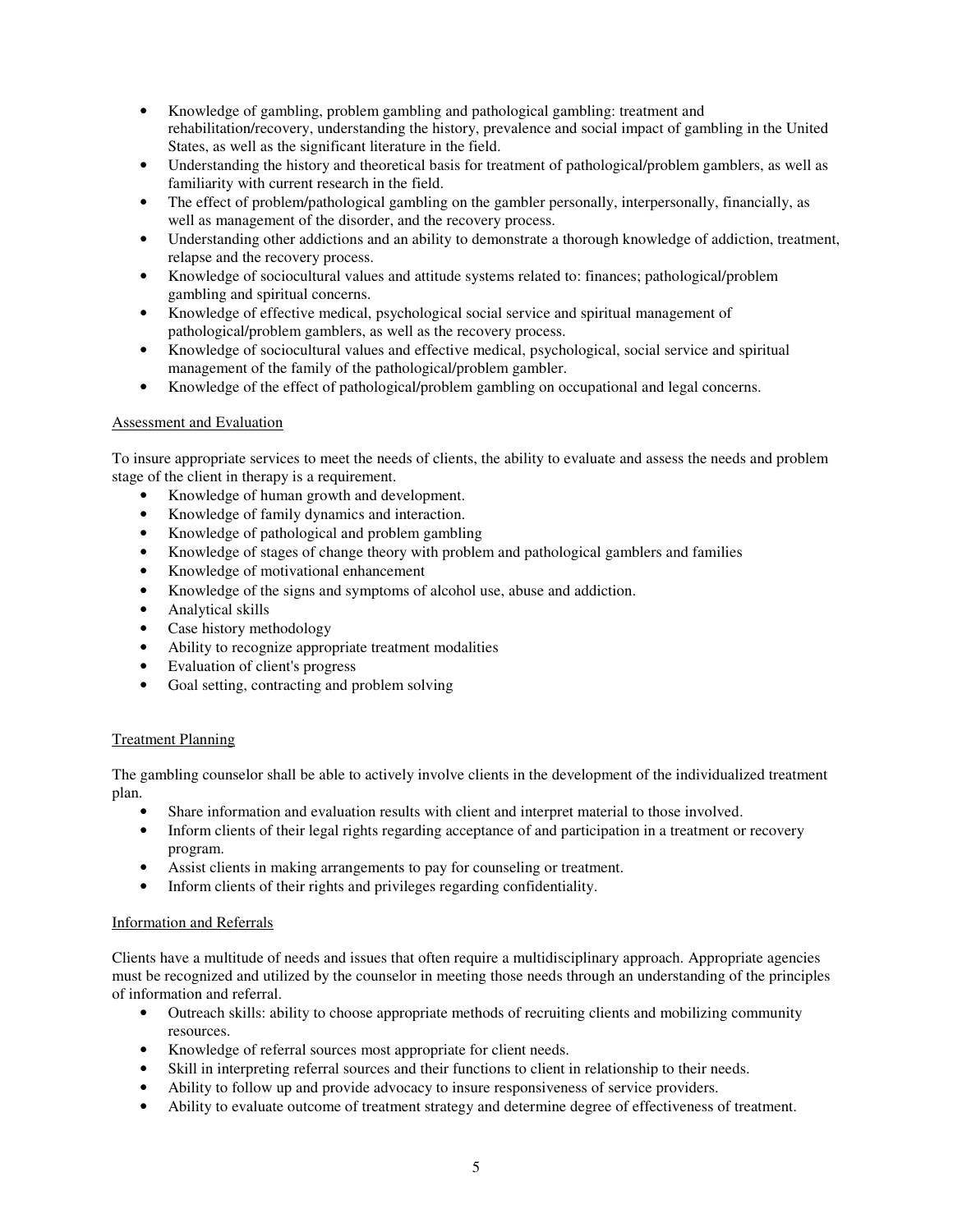- Knowledge of gambling, problem gambling and pathological gambling: treatment and rehabilitation/recovery, understanding the history, prevalence and social impact of gambling in the United States, as well as the significant literature in the field.
- Understanding the history and theoretical basis for treatment of pathological/problem gamblers, as well as familiarity with current research in the field.
- The effect of problem/pathological gambling on the gambler personally, interpersonally, financially, as well as management of the disorder, and the recovery process.
- Understanding other addictions and an ability to demonstrate a thorough knowledge of addiction, treatment, relapse and the recovery process.
- Knowledge of sociocultural values and attitude systems related to: finances; pathological/problem gambling and spiritual concerns.
- Knowledge of effective medical, psychological social service and spiritual management of pathological/problem gamblers, as well as the recovery process.
- Knowledge of sociocultural values and effective medical, psychological, social service and spiritual management of the family of the pathological/problem gambler.
- Knowledge of the effect of pathological/problem gambling on occupational and legal concerns.

#### Assessment and Evaluation

To insure appropriate services to meet the needs of clients, the ability to evaluate and assess the needs and problem stage of the client in therapy is a requirement.

- Knowledge of human growth and development.
- Knowledge of family dynamics and interaction.
- Knowledge of pathological and problem gambling
- Knowledge of stages of change theory with problem and pathological gamblers and families
- Knowledge of motivational enhancement
- Knowledge of the signs and symptoms of alcohol use, abuse and addiction.
- Analytical skills
- Case history methodology
- Ability to recognize appropriate treatment modalities
- Evaluation of client's progress
- Goal setting, contracting and problem solving

#### Treatment Planning

The gambling counselor shall be able to actively involve clients in the development of the individualized treatment plan.

- Share information and evaluation results with client and interpret material to those involved.
- Inform clients of their legal rights regarding acceptance of and participation in a treatment or recovery program.
- Assist clients in making arrangements to pay for counseling or treatment.
- Inform clients of their rights and privileges regarding confidentiality.

#### Information and Referrals

Clients have a multitude of needs and issues that often require a multidisciplinary approach. Appropriate agencies must be recognized and utilized by the counselor in meeting those needs through an understanding of the principles of information and referral.

- Outreach skills: ability to choose appropriate methods of recruiting clients and mobilizing community resources.
- Knowledge of referral sources most appropriate for client needs.
- Skill in interpreting referral sources and their functions to client in relationship to their needs.
- Ability to follow up and provide advocacy to insure responsiveness of service providers.
- Ability to evaluate outcome of treatment strategy and determine degree of effectiveness of treatment.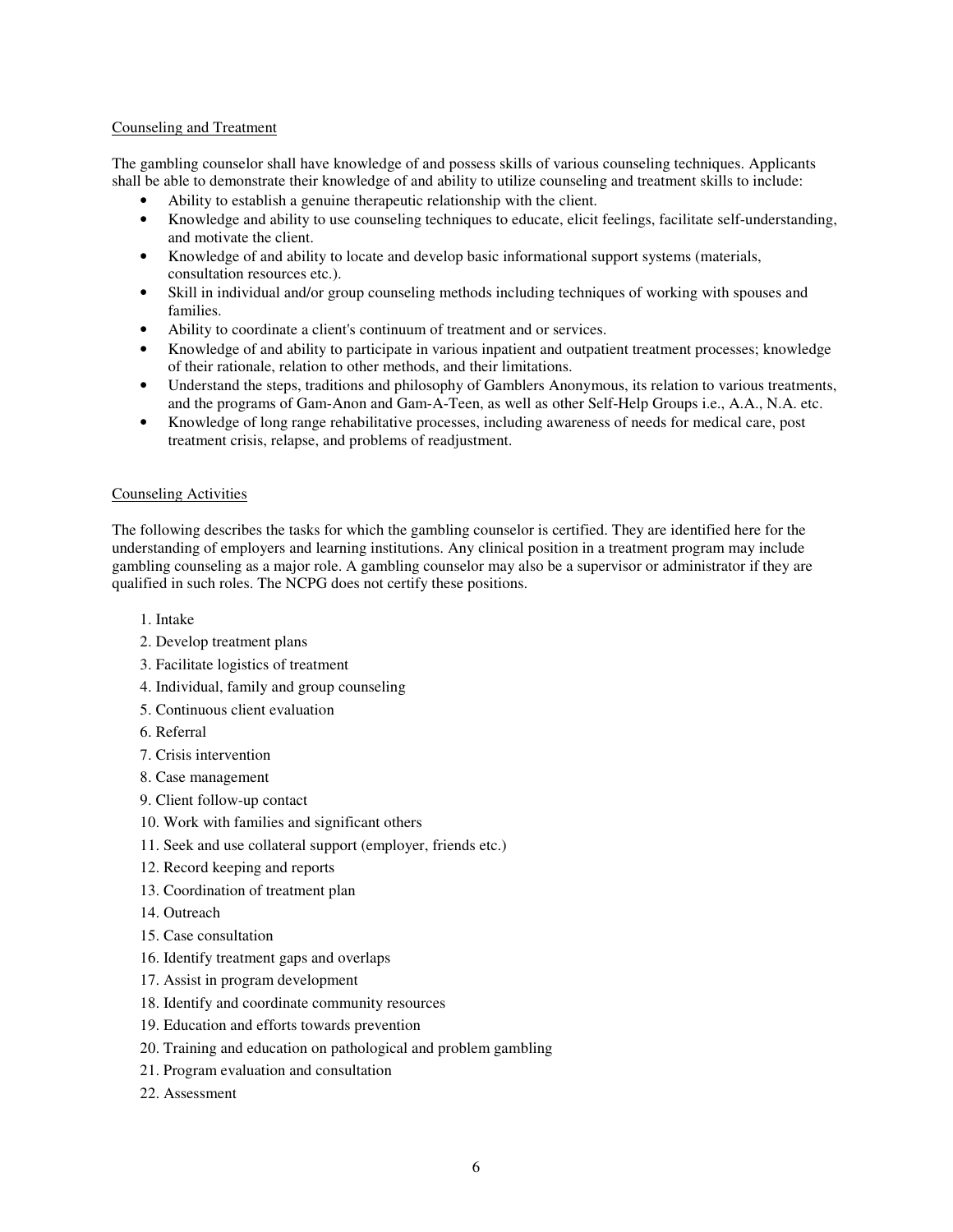#### Counseling and Treatment

The gambling counselor shall have knowledge of and possess skills of various counseling techniques. Applicants shall be able to demonstrate their knowledge of and ability to utilize counseling and treatment skills to include:

- Ability to establish a genuine therapeutic relationship with the client.
- Knowledge and ability to use counseling techniques to educate, elicit feelings, facilitate self-understanding, and motivate the client.
- Knowledge of and ability to locate and develop basic informational support systems (materials, consultation resources etc.).
- Skill in individual and/or group counseling methods including techniques of working with spouses and families.
- Ability to coordinate a client's continuum of treatment and or services.
- Knowledge of and ability to participate in various inpatient and outpatient treatment processes; knowledge of their rationale, relation to other methods, and their limitations.
- Understand the steps, traditions and philosophy of Gamblers Anonymous, its relation to various treatments, and the programs of Gam-Anon and Gam-A-Teen, as well as other Self-Help Groups i.e., A.A., N.A. etc.
- Knowledge of long range rehabilitative processes, including awareness of needs for medical care, post treatment crisis, relapse, and problems of readjustment.

#### Counseling Activities

The following describes the tasks for which the gambling counselor is certified. They are identified here for the understanding of employers and learning institutions. Any clinical position in a treatment program may include gambling counseling as a major role. A gambling counselor may also be a supervisor or administrator if they are qualified in such roles. The NCPG does not certify these positions.

- 1. Intake
- 2. Develop treatment plans
- 3. Facilitate logistics of treatment
- 4. Individual, family and group counseling
- 5. Continuous client evaluation
- 6. Referral
- 7. Crisis intervention
- 8. Case management
- 9. Client follow-up contact
- 10. Work with families and significant others
- 11. Seek and use collateral support (employer, friends etc.)
- 12. Record keeping and reports
- 13. Coordination of treatment plan
- 14. Outreach
- 15. Case consultation
- 16. Identify treatment gaps and overlaps
- 17. Assist in program development
- 18. Identify and coordinate community resources
- 19. Education and efforts towards prevention
- 20. Training and education on pathological and problem gambling
- 21. Program evaluation and consultation
- 22. Assessment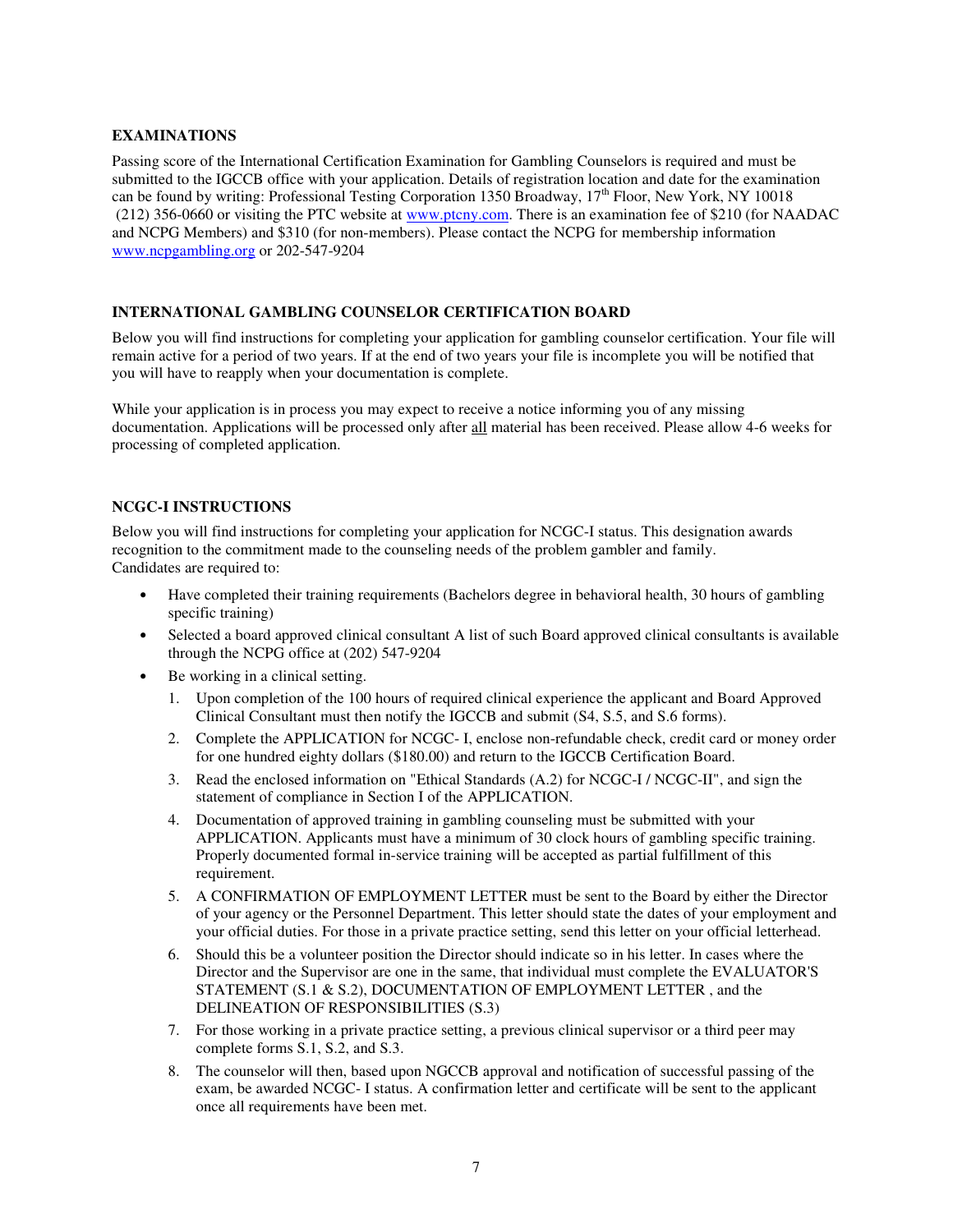#### **EXAMINATIONS**

Passing score of the International Certification Examination for Gambling Counselors is required and must be submitted to the IGCCB office with your application. Details of registration location and date for the examination can be found by writing: Professional Testing Corporation 1350 Broadway, 17<sup>th</sup> Floor, New York, NY 10018 (212) 356-0660 or visiting the PTC website at www.ptcny.com. There is an examination fee of \$210 (for NAADAC and NCPG Members) and \$310 (for non-members). Please contact the NCPG for membership information www.ncpgambling.org or 202-547-9204

#### **INTERNATIONAL GAMBLING COUNSELOR CERTIFICATION BOARD**

Below you will find instructions for completing your application for gambling counselor certification. Your file will remain active for a period of two years. If at the end of two years your file is incomplete you will be notified that you will have to reapply when your documentation is complete.

While your application is in process you may expect to receive a notice informing you of any missing documentation. Applications will be processed only after all material has been received. Please allow 4-6 weeks for processing of completed application.

#### **NCGC-I INSTRUCTIONS**

Below you will find instructions for completing your application for NCGC-I status. This designation awards recognition to the commitment made to the counseling needs of the problem gambler and family. Candidates are required to:

- Have completed their training requirements (Bachelors degree in behavioral health, 30 hours of gambling specific training)
- Selected a board approved clinical consultant A list of such Board approved clinical consultants is available through the NCPG office at (202) 547-9204
- Be working in a clinical setting.
	- 1. Upon completion of the 100 hours of required clinical experience the applicant and Board Approved Clinical Consultant must then notify the IGCCB and submit (S4, S.5, and S.6 forms).
	- 2. Complete the APPLICATION for NCGC- I, enclose non-refundable check, credit card or money order for one hundred eighty dollars (\$180.00) and return to the IGCCB Certification Board.
	- 3. Read the enclosed information on "Ethical Standards (A.2) for NCGC-I / NCGC-II", and sign the statement of compliance in Section I of the APPLICATION.
	- 4. Documentation of approved training in gambling counseling must be submitted with your APPLICATION. Applicants must have a minimum of 30 clock hours of gambling specific training. Properly documented formal in-service training will be accepted as partial fulfillment of this requirement.
	- 5. A CONFIRMATION OF EMPLOYMENT LETTER must be sent to the Board by either the Director of your agency or the Personnel Department. This letter should state the dates of your employment and your official duties. For those in a private practice setting, send this letter on your official letterhead.
	- 6. Should this be a volunteer position the Director should indicate so in his letter. In cases where the Director and the Supervisor are one in the same, that individual must complete the EVALUATOR'S STATEMENT (S.1 & S.2), DOCUMENTATION OF EMPLOYMENT LETTER , and the DELINEATION OF RESPONSIBILITIES (S.3)
	- 7. For those working in a private practice setting, a previous clinical supervisor or a third peer may complete forms S.1, S.2, and S.3.
	- 8. The counselor will then, based upon NGCCB approval and notification of successful passing of the exam, be awarded NCGC- I status. A confirmation letter and certificate will be sent to the applicant once all requirements have been met.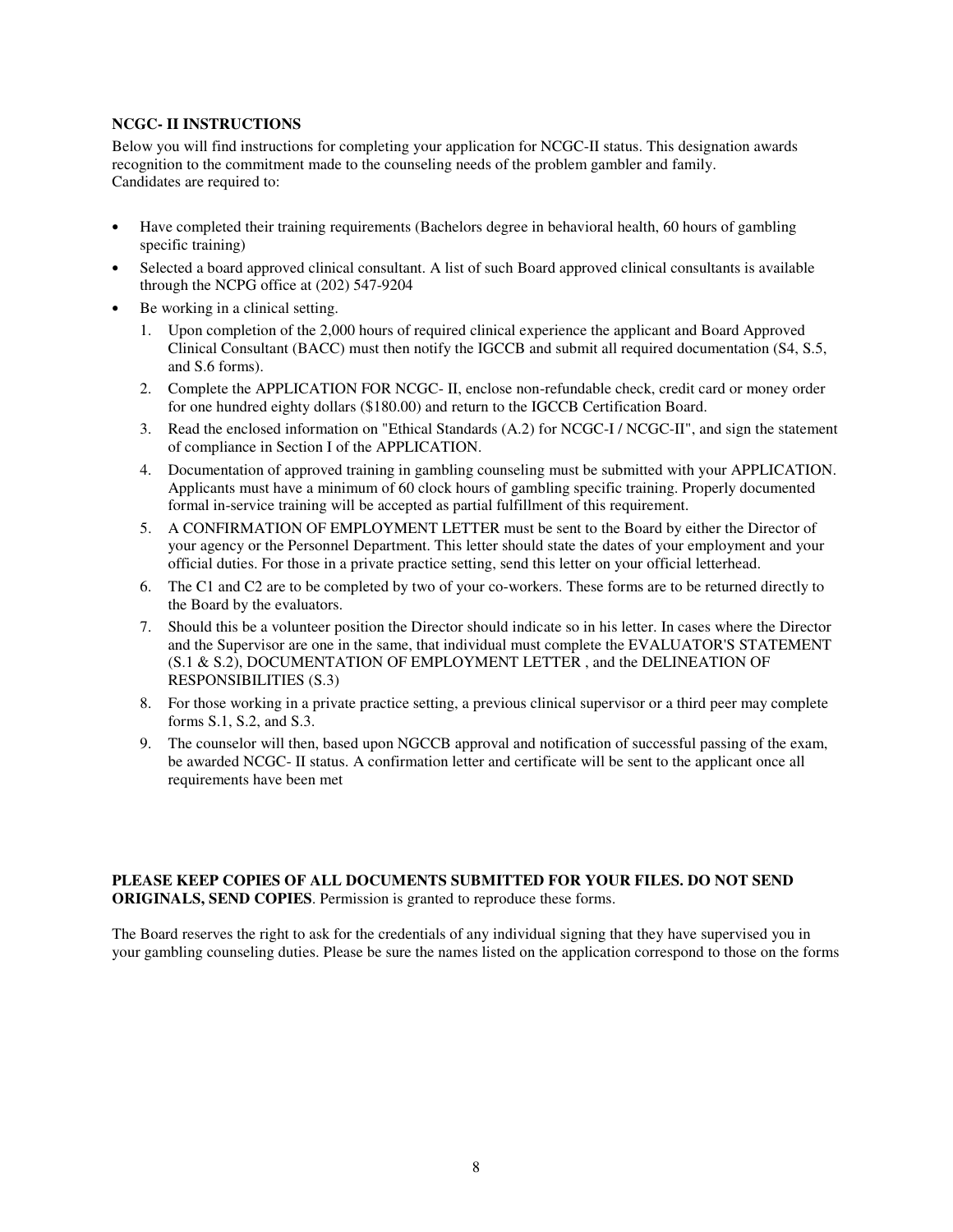#### **NCGC- II INSTRUCTIONS**

Below you will find instructions for completing your application for NCGC-II status. This designation awards recognition to the commitment made to the counseling needs of the problem gambler and family. Candidates are required to:

- Have completed their training requirements (Bachelors degree in behavioral health, 60 hours of gambling specific training)
- Selected a board approved clinical consultant. A list of such Board approved clinical consultants is available through the NCPG office at (202) 547-9204
- Be working in a clinical setting.
	- 1. Upon completion of the 2,000 hours of required clinical experience the applicant and Board Approved Clinical Consultant (BACC) must then notify the IGCCB and submit all required documentation (S4, S.5, and S.6 forms).
	- 2. Complete the APPLICATION FOR NCGC- II, enclose non-refundable check, credit card or money order for one hundred eighty dollars (\$180.00) and return to the IGCCB Certification Board.
	- 3. Read the enclosed information on "Ethical Standards (A.2) for NCGC-I / NCGC-II", and sign the statement of compliance in Section I of the APPLICATION.
	- 4. Documentation of approved training in gambling counseling must be submitted with your APPLICATION. Applicants must have a minimum of 60 clock hours of gambling specific training. Properly documented formal in-service training will be accepted as partial fulfillment of this requirement.
	- 5. A CONFIRMATION OF EMPLOYMENT LETTER must be sent to the Board by either the Director of your agency or the Personnel Department. This letter should state the dates of your employment and your official duties. For those in a private practice setting, send this letter on your official letterhead.
	- 6. The C1 and C2 are to be completed by two of your co-workers. These forms are to be returned directly to the Board by the evaluators.
	- 7. Should this be a volunteer position the Director should indicate so in his letter. In cases where the Director and the Supervisor are one in the same, that individual must complete the EVALUATOR'S STATEMENT (S.1 & S.2), DOCUMENTATION OF EMPLOYMENT LETTER , and the DELINEATION OF RESPONSIBILITIES (S.3)
	- 8. For those working in a private practice setting, a previous clinical supervisor or a third peer may complete forms S.1, S.2, and S.3.
	- 9. The counselor will then, based upon NGCCB approval and notification of successful passing of the exam, be awarded NCGC- II status. A confirmation letter and certificate will be sent to the applicant once all requirements have been met

#### **PLEASE KEEP COPIES OF ALL DOCUMENTS SUBMITTED FOR YOUR FILES. DO NOT SEND ORIGINALS, SEND COPIES**. Permission is granted to reproduce these forms.

The Board reserves the right to ask for the credentials of any individual signing that they have supervised you in your gambling counseling duties. Please be sure the names listed on the application correspond to those on the forms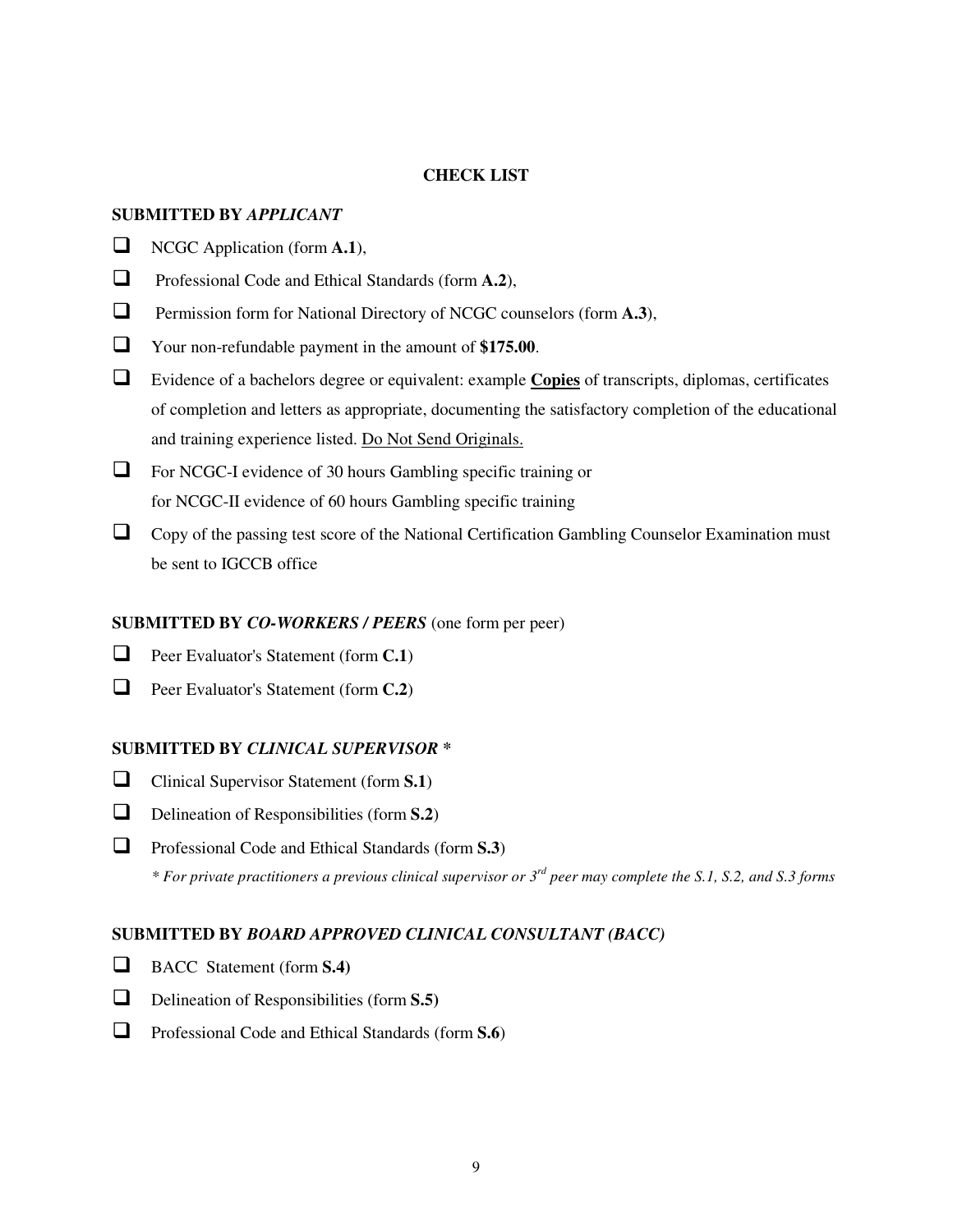#### **CHECK LIST**

#### **SUBMITTED BY** *APPLICANT*

- NCGC Application (form **A.1**),
- Professional Code and Ethical Standards (form **A.2**),
- Permission form for National Directory of NCGC counselors (form **A.3**),
- Your non-refundable payment in the amount of **\$175.00**.
- Evidence of a bachelors degree or equivalent: example **Copies** of transcripts, diplomas, certificates of completion and letters as appropriate, documenting the satisfactory completion of the educational and training experience listed. Do Not Send Originals.
- For NCGC-I evidence of 30 hours Gambling specific training or for NCGC-II evidence of 60 hours Gambling specific training
- $\Box$  Copy of the passing test score of the National Certification Gambling Counselor Examination must be sent to IGCCB office

#### **SUBMITTED BY** *CO-WORKERS / PEERS* (one form per peer)

- **D** Peer Evaluator's Statement (form **C.1**)
- Peer Evaluator's Statement (form **C.2**)

#### **SUBMITTED BY** *CLINICAL SUPERVISOR* **\***

- Clinical Supervisor Statement (form **S.1**)
- Delineation of Responsibilities (form **S.2**)
- Professional Code and Ethical Standards (form **S.3**) *\* For private practitioners a previous clinical supervisor or 3rd peer may complete the S.1, S.2, and S.3 forms*

#### **SUBMITTED BY** *BOARD APPROVED CLINICAL CONSULTANT (BACC)*

- BACC Statement (form **S.4)**
- Delineation of Responsibilities (form **S.5)**
- Professional Code and Ethical Standards (form **S.6**)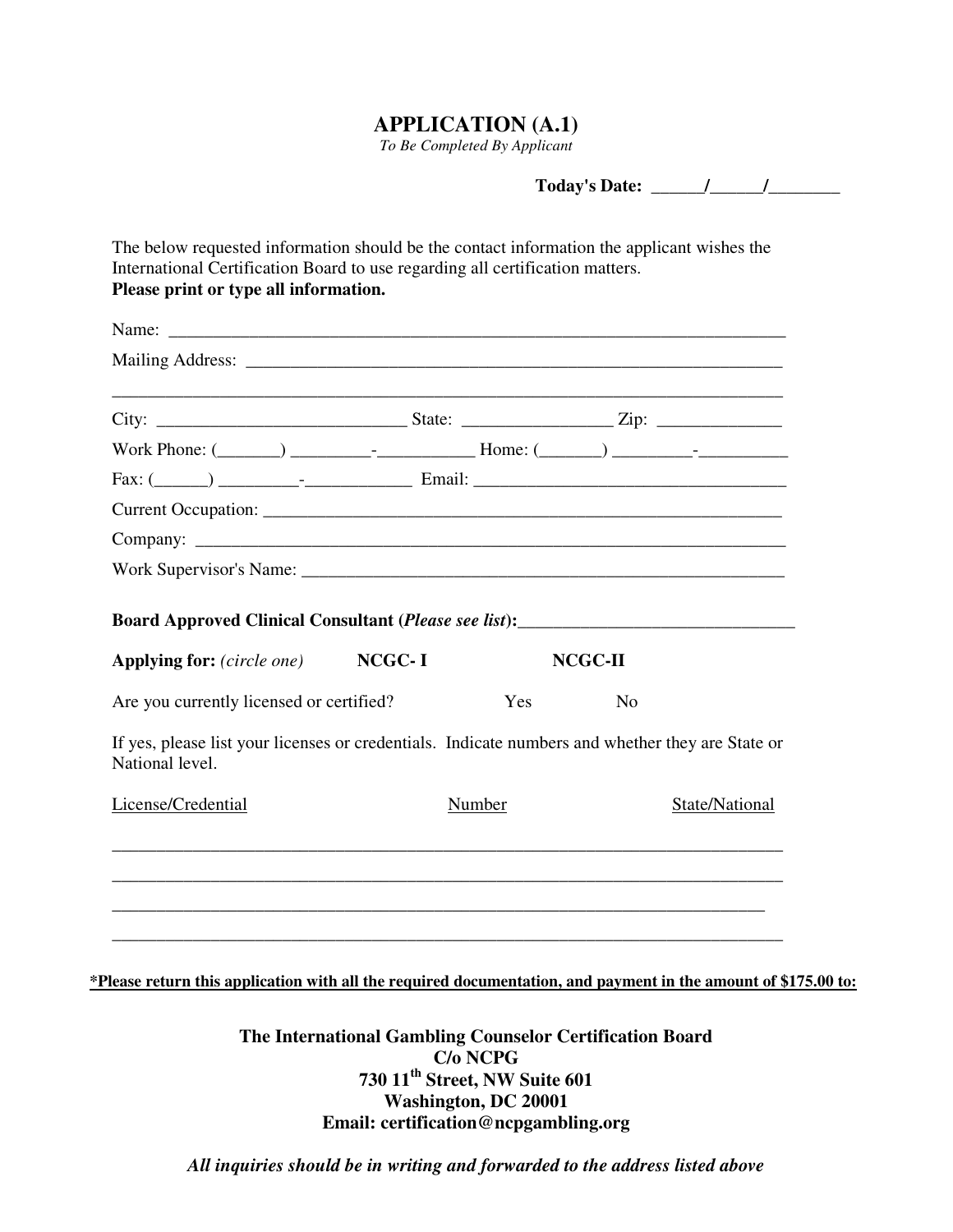## **APPLICATION (A.1)**

*To Be Completed By Applicant* 

**Today's Date: \_\_\_\_\_\_/\_\_\_\_\_\_/\_\_\_\_\_\_\_\_** 

| ,我们也不能在这里的人,我们也不能在这里的人,我们也不能在这里的人,我们也不能在这里的人,我们也不能在这里的人,我们也不能在这里的人,我们也不能在这里的人,我们也                                                                                                                                                                                                                |        |                |                |
|--------------------------------------------------------------------------------------------------------------------------------------------------------------------------------------------------------------------------------------------------------------------------------------------------|--------|----------------|----------------|
|                                                                                                                                                                                                                                                                                                  |        |                |                |
|                                                                                                                                                                                                                                                                                                  |        |                |                |
|                                                                                                                                                                                                                                                                                                  |        |                |                |
|                                                                                                                                                                                                                                                                                                  |        |                |                |
|                                                                                                                                                                                                                                                                                                  |        |                |                |
|                                                                                                                                                                                                                                                                                                  |        | NCGC-II        |                |
|                                                                                                                                                                                                                                                                                                  | Yes    | N <sub>o</sub> |                |
| Board Approved Clinical Consultant (Please see list): ___________________________<br><b>Applying for:</b> (circle one) NCGC-I<br>Are you currently licensed or certified?<br>If yes, please list your licenses or credentials. Indicate numbers and whether they are State or<br>National level. |        |                |                |
| License/Credential                                                                                                                                                                                                                                                                               | Number |                | State/National |

**The International Gambling Counselor Certification Board C/o NCPG 730 11th Street, NW Suite 601 Washington, DC 20001 Email: certification@ncpgambling.org** 

*All inquiries should be in writing and forwarded to the address listed above*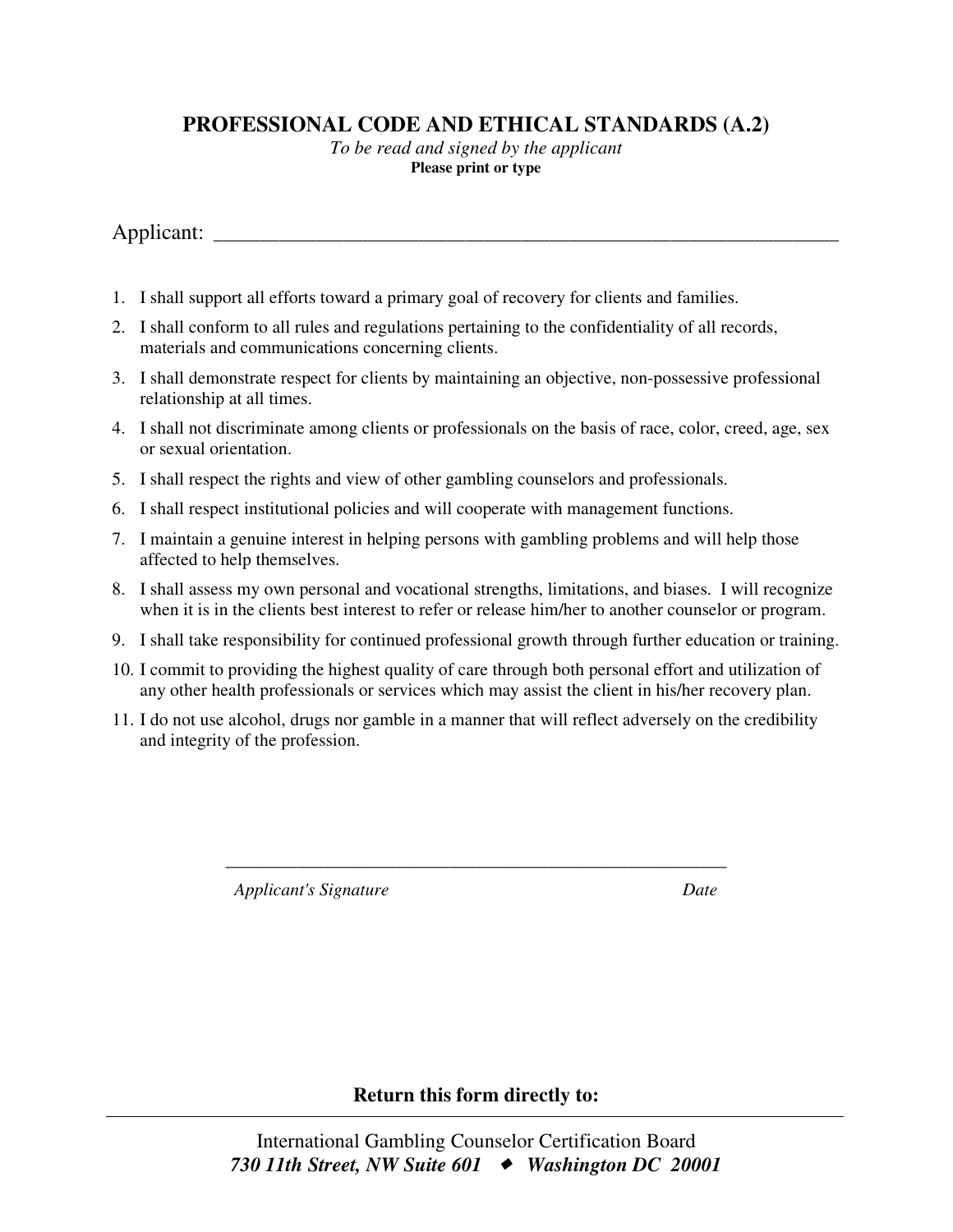## **PROFESSIONAL CODE AND ETHICAL STANDARDS (A.2)**

*To be read and signed by the applicant* **Please print or type** 

Applicant:

- 1. I shall support all efforts toward a primary goal of recovery for clients and families.
- 2. I shall conform to all rules and regulations pertaining to the confidentiality of all records, materials and communications concerning clients.
- 3. I shall demonstrate respect for clients by maintaining an objective, non-possessive professional relationship at all times.
- 4. I shall not discriminate among clients or professionals on the basis of race, color, creed, age, sex or sexual orientation.
- 5. I shall respect the rights and view of other gambling counselors and professionals.
- 6. I shall respect institutional policies and will cooperate with management functions.
- 7. I maintain a genuine interest in helping persons with gambling problems and will help those affected to help themselves.
- 8. I shall assess my own personal and vocational strengths, limitations, and biases. I will recognize when it is in the clients best interest to refer or release him/her to another counselor or program.
- 9. I shall take responsibility for continued professional growth through further education or training.
- 10. I commit to providing the highest quality of care through both personal effort and utilization of any other health professionals or services which may assist the client in his/her recovery plan.
- 11. I do not use alcohol, drugs nor gamble in a manner that will reflect adversely on the credibility and integrity of the profession.

\_\_\_\_\_\_\_\_\_\_\_\_\_\_\_\_\_\_\_\_\_\_\_\_\_\_\_\_\_\_\_\_\_\_\_\_\_\_\_\_\_\_\_\_\_\_\_\_\_\_\_\_\_\_\_\_

*Applicant's Signature* Date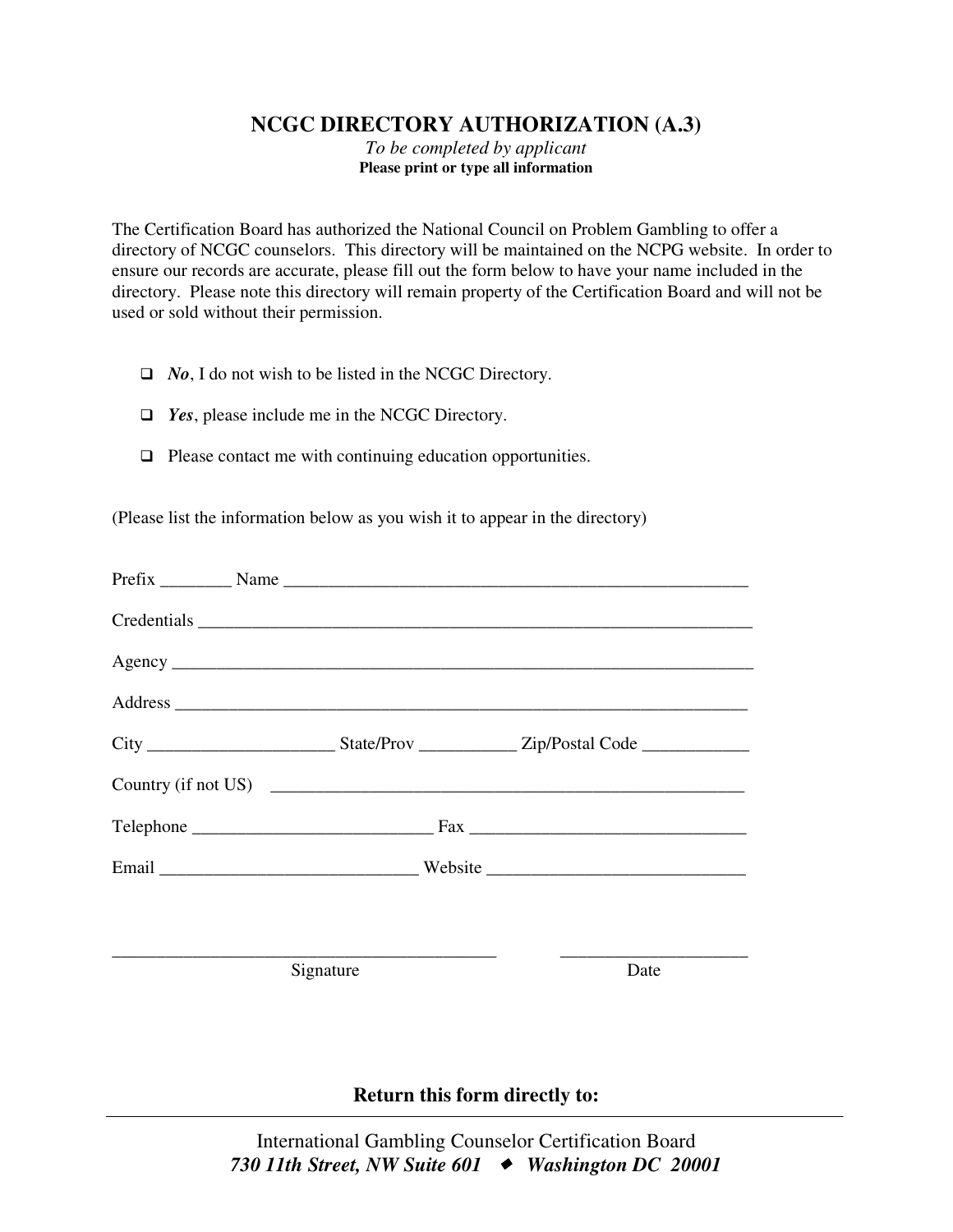## **NCGC DIRECTORY AUTHORIZATION (A.3)**

*To be completed by applicant*  **Please print or type all information** 

The Certification Board has authorized the National Council on Problem Gambling to offer a directory of NCGC counselors. This directory will be maintained on the NCPG website. In order to ensure our records are accurate, please fill out the form below to have your name included in the directory. Please note this directory will remain property of the Certification Board and will not be used or sold without their permission.

- *No*, I do not wish to be listed in the NCGC Directory.
- *Yes*, please include me in the NCGC Directory.
- $\Box$  Please contact me with continuing education opportunities.

(Please list the information below as you wish it to appear in the directory)

| Signature | Date |
|-----------|------|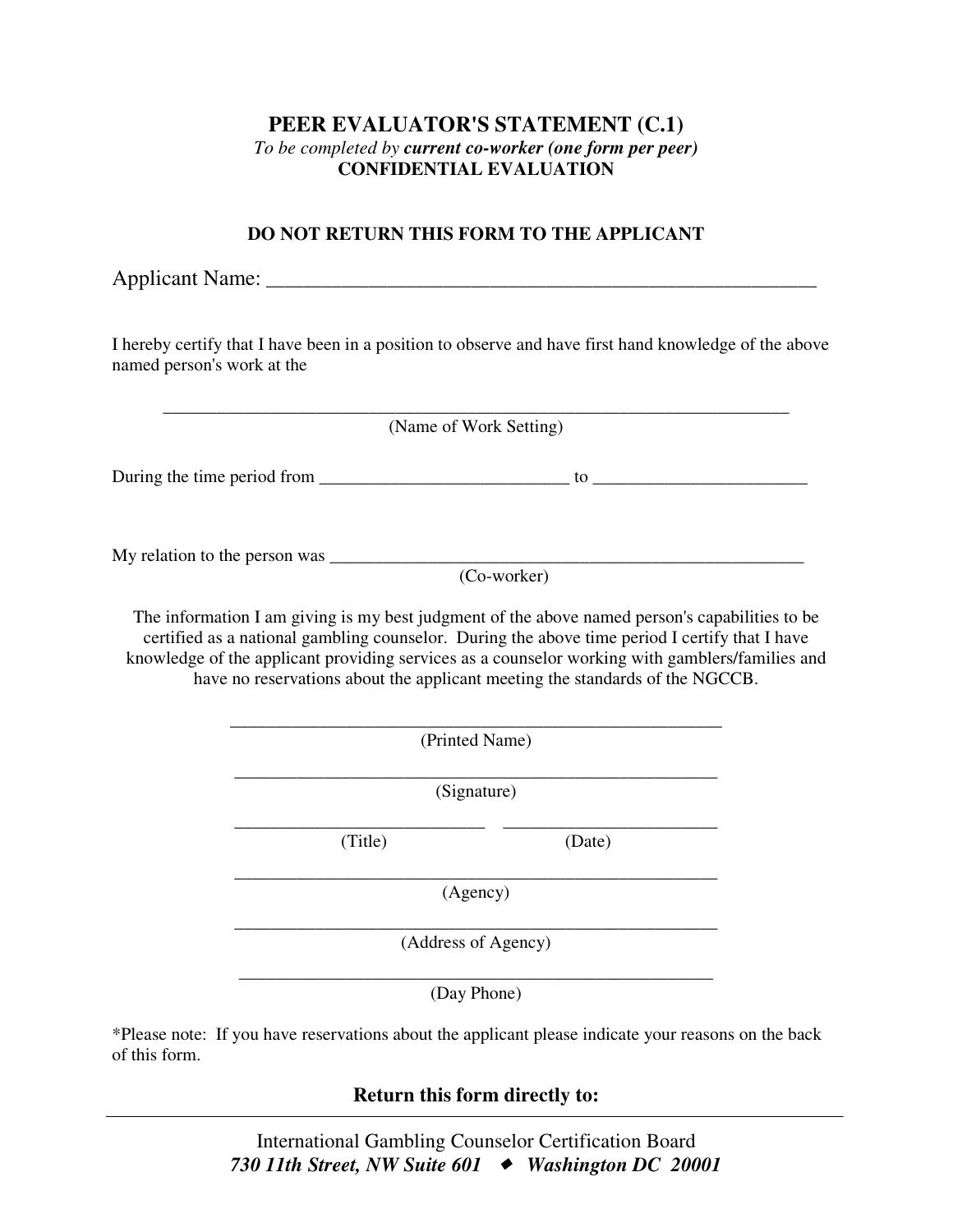## **PEER EVALUATOR'S STATEMENT (C.1)**  *To be completed by current co-worker (one form per peer)*  **CONFIDENTIAL EVALUATION**

## **DO NOT RETURN THIS FORM TO THE APPLICANT**

Applicant Name: \_\_\_\_\_\_\_\_\_\_\_\_\_\_\_\_\_\_\_\_\_\_\_\_\_\_\_\_\_\_\_\_\_\_\_\_\_\_\_\_\_\_\_\_\_\_\_\_\_\_\_\_\_\_\_\_\_\_\_ I hereby certify that I have been in a position to observe and have first hand knowledge of the above named person's work at the \_\_\_\_\_\_\_\_\_\_\_\_\_\_\_\_\_\_\_\_\_\_\_\_\_\_\_\_\_\_\_\_\_\_\_\_\_\_\_\_\_\_\_\_\_\_\_\_\_\_\_\_\_\_\_\_\_\_\_\_\_\_\_\_\_\_\_\_\_\_ (Name of Work Setting) During the time period from  $\frac{1}{\sqrt{2}}$  =  $\frac{1}{\sqrt{2}}$  to  $\frac{1}{\sqrt{2}}$  =  $\frac{1}{\sqrt{2}}$  =  $\frac{1}{\sqrt{2}}$  =  $\frac{1}{\sqrt{2}}$  =  $\frac{1}{\sqrt{2}}$  =  $\frac{1}{\sqrt{2}}$  =  $\frac{1}{\sqrt{2}}$  =  $\frac{1}{\sqrt{2}}$  =  $\frac{1}{\sqrt{2}}$  =  $\frac{1}{\sqrt{2}}$  =  $\frac{1}{\sqrt{2}}$ My relation to the person was \_\_\_\_\_\_\_\_\_\_\_\_\_\_\_\_\_\_\_\_\_\_\_\_\_\_\_\_\_\_\_\_\_\_\_\_\_\_\_\_\_\_\_\_\_\_\_\_\_\_\_\_\_ (Co-worker) The information I am giving is my best judgment of the above named person's capabilities to be certified as a national gambling counselor. During the above time period I certify that I have knowledge of the applicant providing services as a counselor working with gamblers/families and have no reservations about the applicant meeting the standards of the NGCCB. \_\_\_\_\_\_\_\_\_\_\_\_\_\_\_\_\_\_\_\_\_\_\_\_\_\_\_\_\_\_\_\_\_\_\_\_\_\_\_\_\_\_\_\_\_\_\_\_\_\_\_\_\_\_\_ (Printed Name) \_\_\_\_\_\_\_\_\_\_\_\_\_\_\_\_\_\_\_\_\_\_\_\_\_\_\_\_\_\_\_\_\_\_\_\_\_\_\_\_\_\_\_\_\_\_\_\_\_\_\_\_\_\_

(Signature)

\_\_\_\_\_\_\_\_\_\_\_\_\_\_\_\_\_\_\_\_\_\_\_\_\_\_\_\_ \_\_\_\_\_\_\_\_\_\_\_\_\_\_\_\_\_\_\_\_\_\_\_\_ (Title) (Date)

\_\_\_\_\_\_\_\_\_\_\_\_\_\_\_\_\_\_\_\_\_\_\_\_\_\_\_\_\_\_\_\_\_\_\_\_\_\_\_\_\_\_\_\_\_\_\_\_\_\_\_\_\_\_ (Agency)

\_\_\_\_\_\_\_\_\_\_\_\_\_\_\_\_\_\_\_\_\_\_\_\_\_\_\_\_\_\_\_\_\_\_\_\_\_\_\_\_\_\_\_\_\_\_\_\_\_\_\_\_\_\_ (Address of Agency)

\_\_\_\_\_\_\_\_\_\_\_\_\_\_\_\_\_\_\_\_\_\_\_\_\_\_\_\_\_\_\_\_\_\_\_\_\_\_\_\_\_\_\_\_\_\_\_\_\_\_\_\_\_ (Day Phone)

\*Please note: If you have reservations about the applicant please indicate your reasons on the back of this form.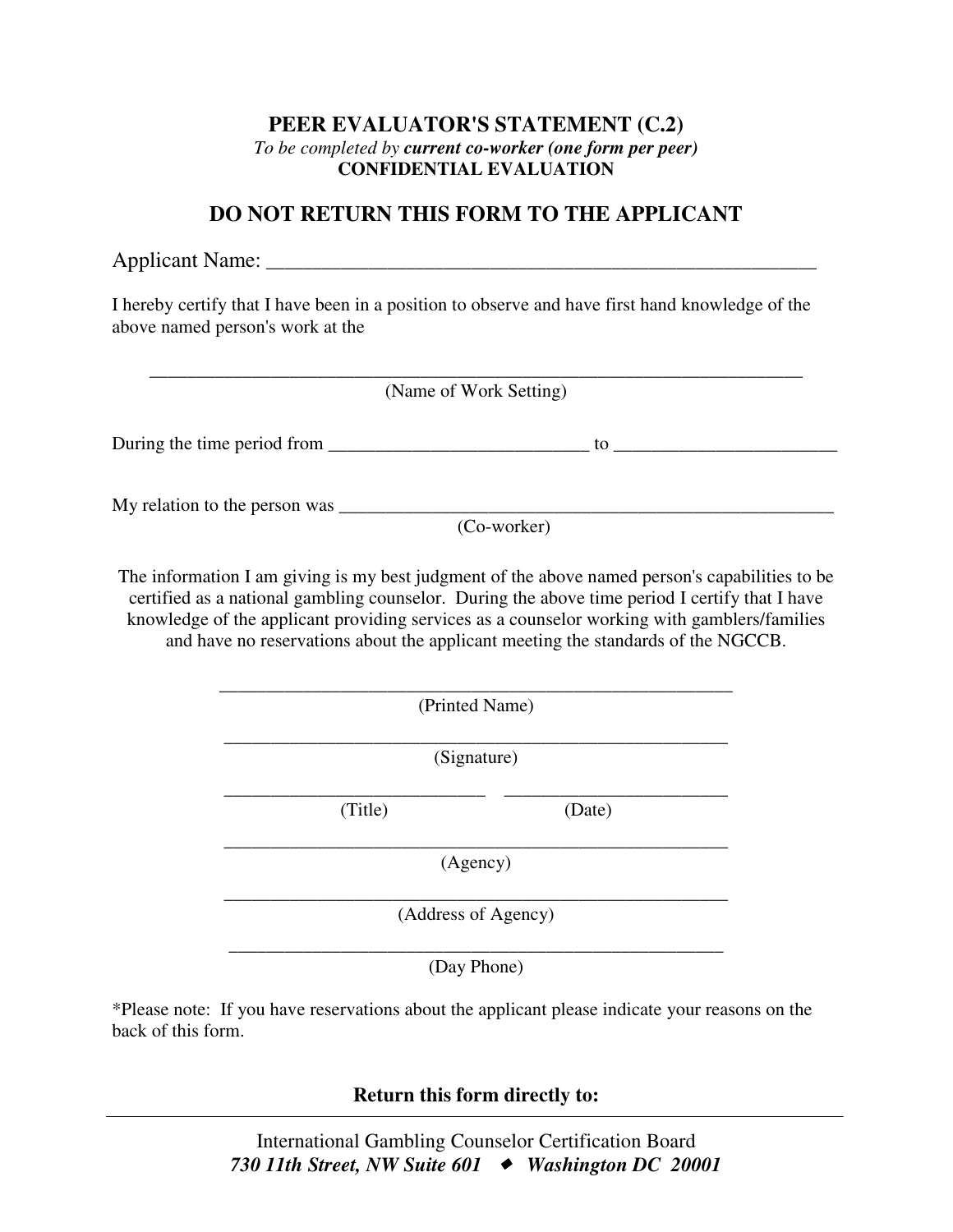## **PEER EVALUATOR'S STATEMENT (C.2)**  *To be completed by current co-worker (one form per peer)*  **CONFIDENTIAL EVALUATION**

## **DO NOT RETURN THIS FORM TO THE APPLICANT**

Applicant Name: \_\_\_\_\_\_\_\_\_\_\_\_\_\_\_\_\_\_\_\_\_\_\_\_\_\_\_\_\_\_\_\_\_\_\_\_\_\_\_\_\_\_\_\_\_\_\_\_\_\_\_\_\_\_\_\_\_\_\_

I hereby certify that I have been in a position to observe and have first hand knowledge of the above named person's work at the

|         | (Name of Work Setting)                                                                                                                                                                                                                                                                                                                                                                                |
|---------|-------------------------------------------------------------------------------------------------------------------------------------------------------------------------------------------------------------------------------------------------------------------------------------------------------------------------------------------------------------------------------------------------------|
|         |                                                                                                                                                                                                                                                                                                                                                                                                       |
|         |                                                                                                                                                                                                                                                                                                                                                                                                       |
|         | The information I am giving is my best judgment of the above named person's capabilities to be<br>certified as a national gambling counselor. During the above time period I certify that I have<br>knowledge of the applicant providing services as a counselor working with gamblers/families<br>and have no reservations about the applicant meeting the standards of the NGCCB.<br>(Printed Name) |
|         | (Signature)                                                                                                                                                                                                                                                                                                                                                                                           |
| (Title) | (Date)                                                                                                                                                                                                                                                                                                                                                                                                |
|         | (Agency)                                                                                                                                                                                                                                                                                                                                                                                              |
|         | (Address of Agency)                                                                                                                                                                                                                                                                                                                                                                                   |
|         | (Day Phone)                                                                                                                                                                                                                                                                                                                                                                                           |

\*Please note: If you have reservations about the applicant please indicate your reasons on the back of this form.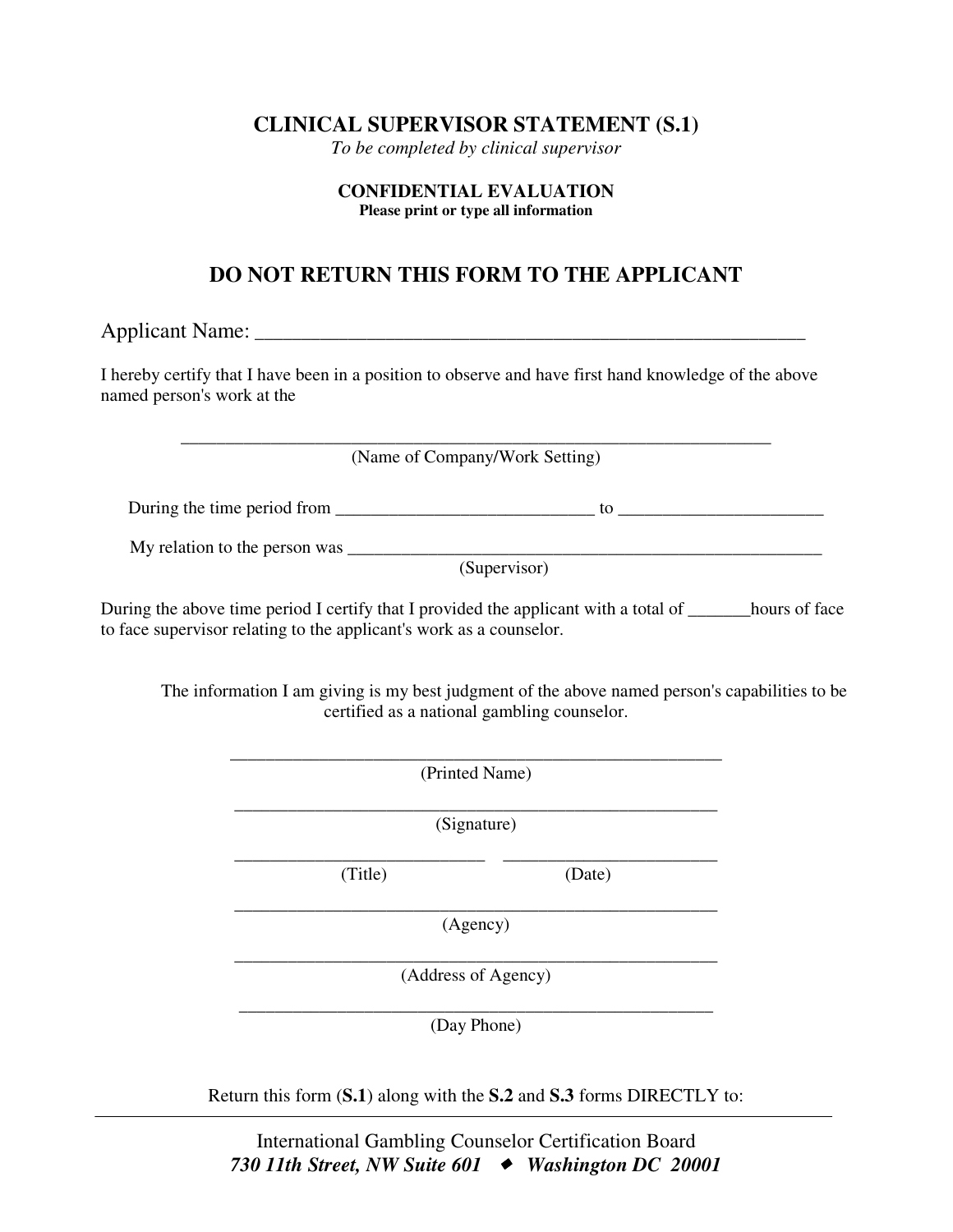## **CLINICAL SUPERVISOR STATEMENT (S.1)**

*To be completed by clinical supervisor* 

#### **CONFIDENTIAL EVALUATION Please print or type all information**

## **DO NOT RETURN THIS FORM TO THE APPLICANT**

Applicant Name: \_\_\_\_\_\_\_\_\_\_\_\_\_\_\_\_\_\_\_\_\_\_\_\_\_\_\_\_\_\_\_\_\_\_\_\_\_\_\_\_\_\_\_\_\_\_\_\_\_\_\_\_\_\_\_\_\_\_\_

I hereby certify that I have been in a position to observe and have first hand knowledge of the above named person's work at the

> \_\_\_\_\_\_\_\_\_\_\_\_\_\_\_\_\_\_\_\_\_\_\_\_\_\_\_\_\_\_\_\_\_\_\_\_\_\_\_\_\_\_\_\_\_\_\_\_\_\_\_\_\_\_\_\_\_\_\_\_\_\_\_\_\_\_ (Name of Company/Work Setting)

During the time period from to  $\sim$ 

My relation to the person was \_\_\_\_\_\_\_\_\_\_\_\_\_\_\_\_\_\_\_\_\_\_\_\_\_\_\_\_\_\_\_\_\_\_\_\_\_\_\_\_\_\_\_\_\_\_\_\_\_\_\_\_\_

(Supervisor)

During the above time period I certify that I provided the applicant with a total of hours of face to face supervisor relating to the applicant's work as a counselor.

The information I am giving is my best judgment of the above named person's capabilities to be certified as a national gambling counselor.

|         | (Printed Name)      |
|---------|---------------------|
|         | (Signature)         |
| (Title) | (Date)              |
|         | (Agency)            |
|         | (Address of Agency) |
|         | (Day Phone)         |

Return this form (**S.1**) along with the **S.2** and **S.3** forms DIRECTLY to: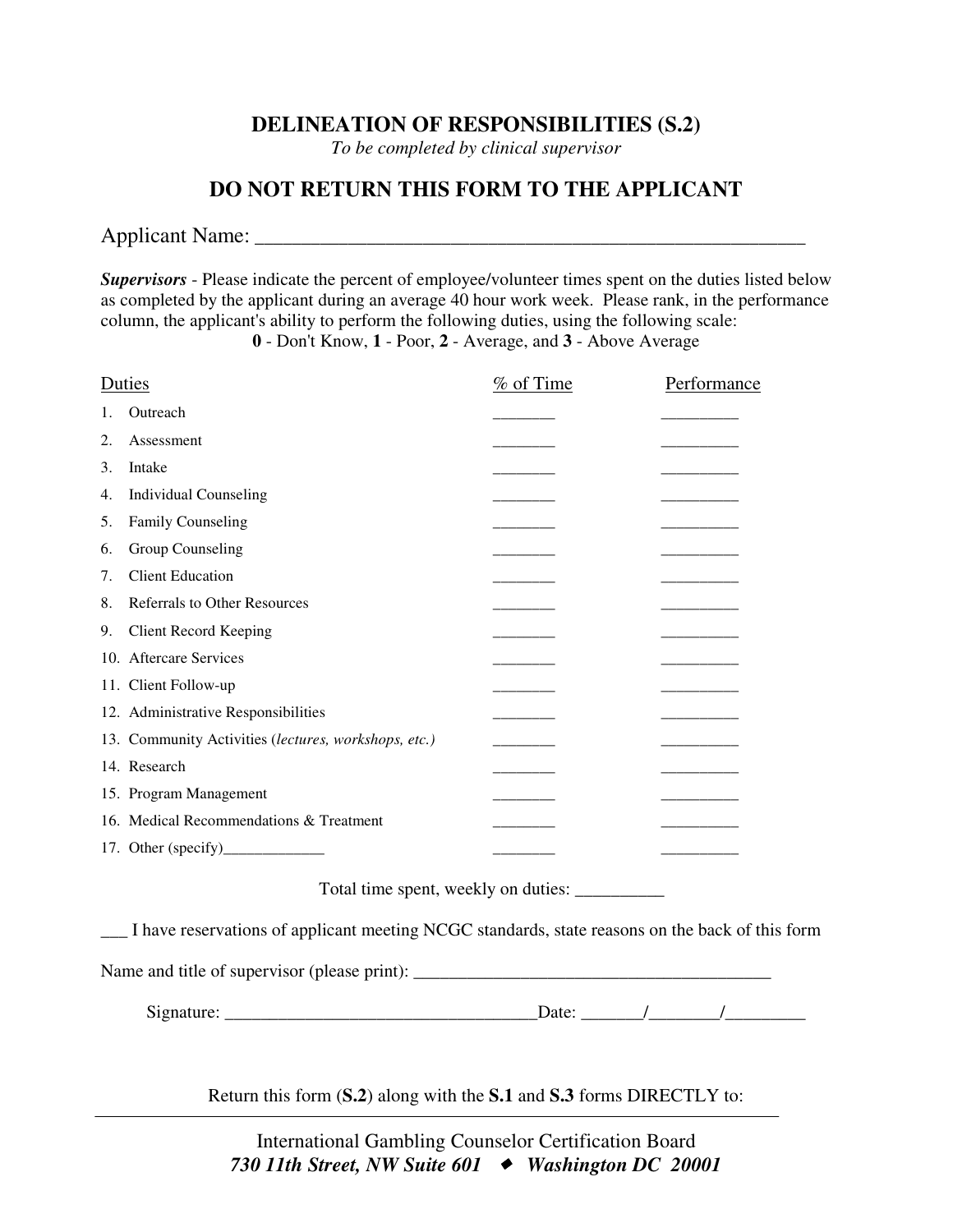## **DELINEATION OF RESPONSIBILITIES (S.2)**

*To be completed by clinical supervisor* 

## **DO NOT RETURN THIS FORM TO THE APPLICANT**

### Applicant Name: \_\_\_\_\_\_\_\_\_\_\_\_\_\_\_\_\_\_\_\_\_\_\_\_\_\_\_\_\_\_\_\_\_\_\_\_\_\_\_\_\_\_\_\_\_\_\_\_\_\_\_\_\_\_\_\_\_\_\_

*Supervisors* - Please indicate the percent of employee/volunteer times spent on the duties listed below as completed by the applicant during an average 40 hour work week. Please rank, in the performance column, the applicant's ability to perform the following duties, using the following scale: **0** - Don't Know, **1** - Poor, **2** - Average, and **3** - Above Average

Duties  $\%$  of Time Performance 1. Outreach 2. Assessment 3. Intake  $\frac{1}{2}$  is the set of  $\frac{1}{2}$  and  $\frac{1}{2}$  and  $\frac{1}{2}$  and  $\frac{1}{2}$  and  $\frac{1}{2}$  and  $\frac{1}{2}$  and  $\frac{1}{2}$  and  $\frac{1}{2}$  and  $\frac{1}{2}$  and  $\frac{1}{2}$  and  $\frac{1}{2}$  and  $\frac{1}{2}$  and  $\frac{1}{2}$  and  $\frac{1$ 4. Individual Counseling 5. Family Counseling 6. Group Counseling 7. Client Education 8. Referrals to Other Resources 9. Client Record Keeping 10. Aftercare Services 11. Client Follow-up 12. Administrative Responsibilities 13. Community Activities (*lectures, workshops, etc.*) 14. Research 15. Program Management 16. Medical Recommendations & Treatment 17. Other (specify)\_\_\_\_\_\_\_\_\_\_\_\_\_ \_\_\_\_\_\_\_\_ \_\_\_\_\_\_\_\_\_\_

Total time spent, weekly on duties: \_\_\_\_\_\_\_\_\_\_

\_\_\_ I have reservations of applicant meeting NCGC standards, state reasons on the back of this form

Name and title of supervisor (please print): \_\_\_\_\_\_\_\_\_\_\_\_\_\_\_\_\_\_\_\_\_\_\_\_\_\_\_\_\_\_\_\_\_\_\_\_\_\_\_\_

Signature: \_\_\_\_\_\_\_\_\_\_\_\_\_\_\_\_\_\_\_\_\_\_\_\_\_\_\_\_\_\_\_\_\_\_\_Date: \_\_\_\_\_\_\_/\_\_\_\_\_\_\_\_/\_\_\_\_\_\_\_\_\_

Return this form (**S.2**) along with the **S.1** and **S.3** forms DIRECTLY to: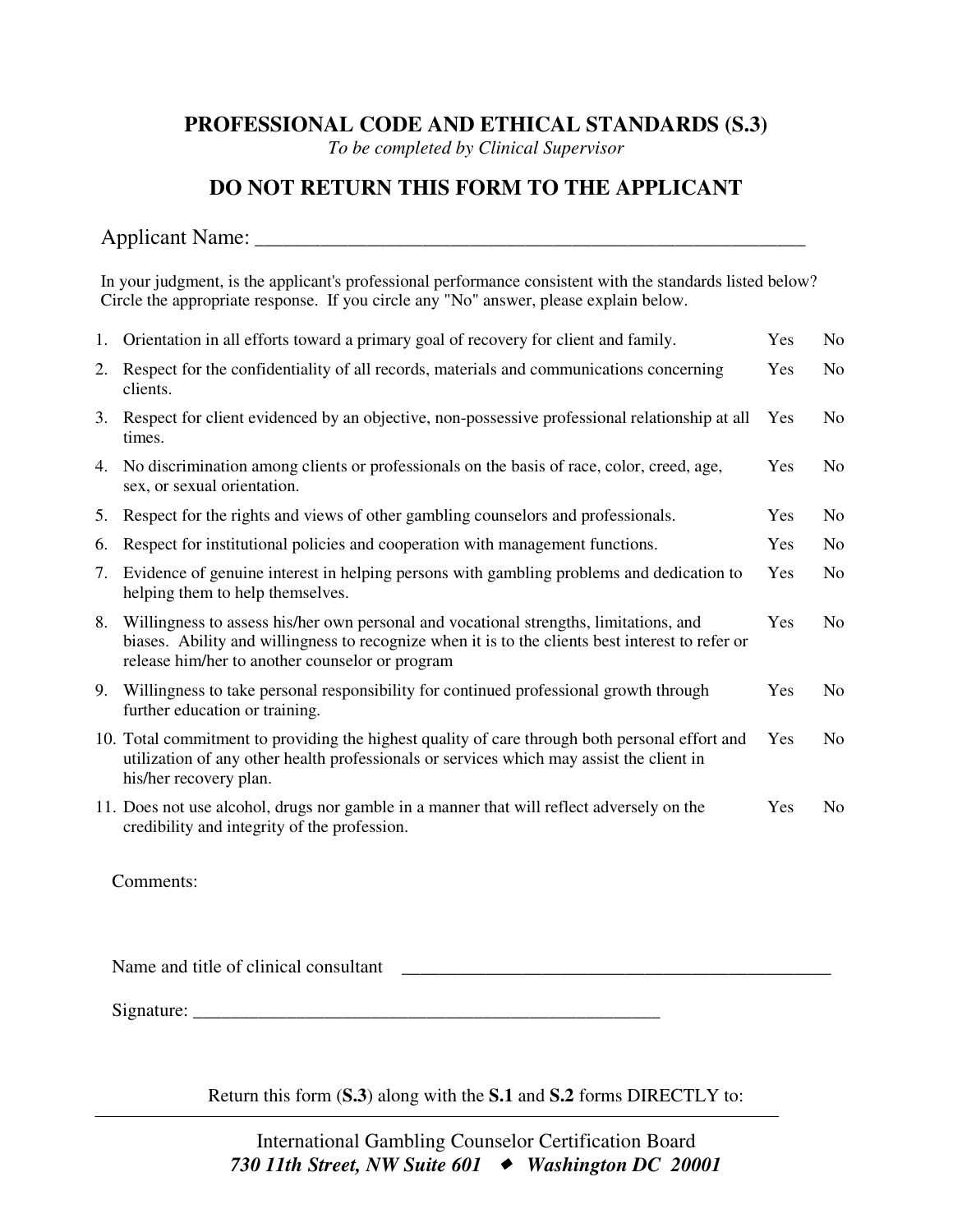## **PROFESSIONAL CODE AND ETHICAL STANDARDS (S.3)**

*To be completed by Clinical Supervisor* 

## **DO NOT RETURN THIS FORM TO THE APPLICANT**

## Applicant Name: \_\_\_\_\_\_\_\_\_\_\_\_\_\_\_\_\_\_\_\_\_\_\_\_\_\_\_\_\_\_\_\_\_\_\_\_\_\_\_\_\_\_\_\_\_\_\_\_\_\_\_\_\_\_\_\_\_\_\_

In your judgment, is the applicant's professional performance consistent with the standards listed below? Circle the appropriate response. If you circle any "No" answer, please explain below.

| $1_{\cdot}$ | Orientation in all efforts toward a primary goal of recovery for client and family.                                                                                                                                                          | Yes | No             |
|-------------|----------------------------------------------------------------------------------------------------------------------------------------------------------------------------------------------------------------------------------------------|-----|----------------|
| 2.          | Respect for the confidentiality of all records, materials and communications concerning<br>clients.                                                                                                                                          | Yes | N <sub>0</sub> |
| 3.          | Respect for client evidenced by an objective, non-possessive professional relationship at all<br>times.                                                                                                                                      | Yes | N <sub>0</sub> |
| 4.          | No discrimination among clients or professionals on the basis of race, color, creed, age,<br>sex, or sexual orientation.                                                                                                                     | Yes | No.            |
| 5.          | Respect for the rights and views of other gambling counselors and professionals.                                                                                                                                                             | Yes | N <sub>0</sub> |
| 6.          | Respect for institutional policies and cooperation with management functions.                                                                                                                                                                | Yes | N <sub>0</sub> |
| 7.          | Evidence of genuine interest in helping persons with gambling problems and dedication to<br>helping them to help themselves.                                                                                                                 | Yes | N <sub>0</sub> |
| 8.          | Willingness to assess his/her own personal and vocational strengths, limitations, and<br>biases. Ability and willingness to recognize when it is to the clients best interest to refer or<br>release him/her to another counselor or program | Yes | N <sub>o</sub> |
| 9.          | Willingness to take personal responsibility for continued professional growth through<br>further education or training.                                                                                                                      | Yes | No.            |
|             | 10. Total commitment to providing the highest quality of care through both personal effort and<br>utilization of any other health professionals or services which may assist the client in<br>his/her recovery plan.                         | Yes | N <sub>0</sub> |
|             | 11. Does not use alcohol, drugs nor gamble in a manner that will reflect adversely on the<br>credibility and integrity of the profession.                                                                                                    | Yes | N <sub>0</sub> |

Comments:

Name and title of clinical consultant \_\_\_\_\_\_\_\_\_\_\_\_\_\_\_\_\_\_\_\_\_\_\_\_\_\_\_\_\_\_\_\_\_\_\_\_\_\_\_\_\_\_\_\_\_\_

Signature:

Return this form (**S.3**) along with the **S.1** and **S.2** forms DIRECTLY to: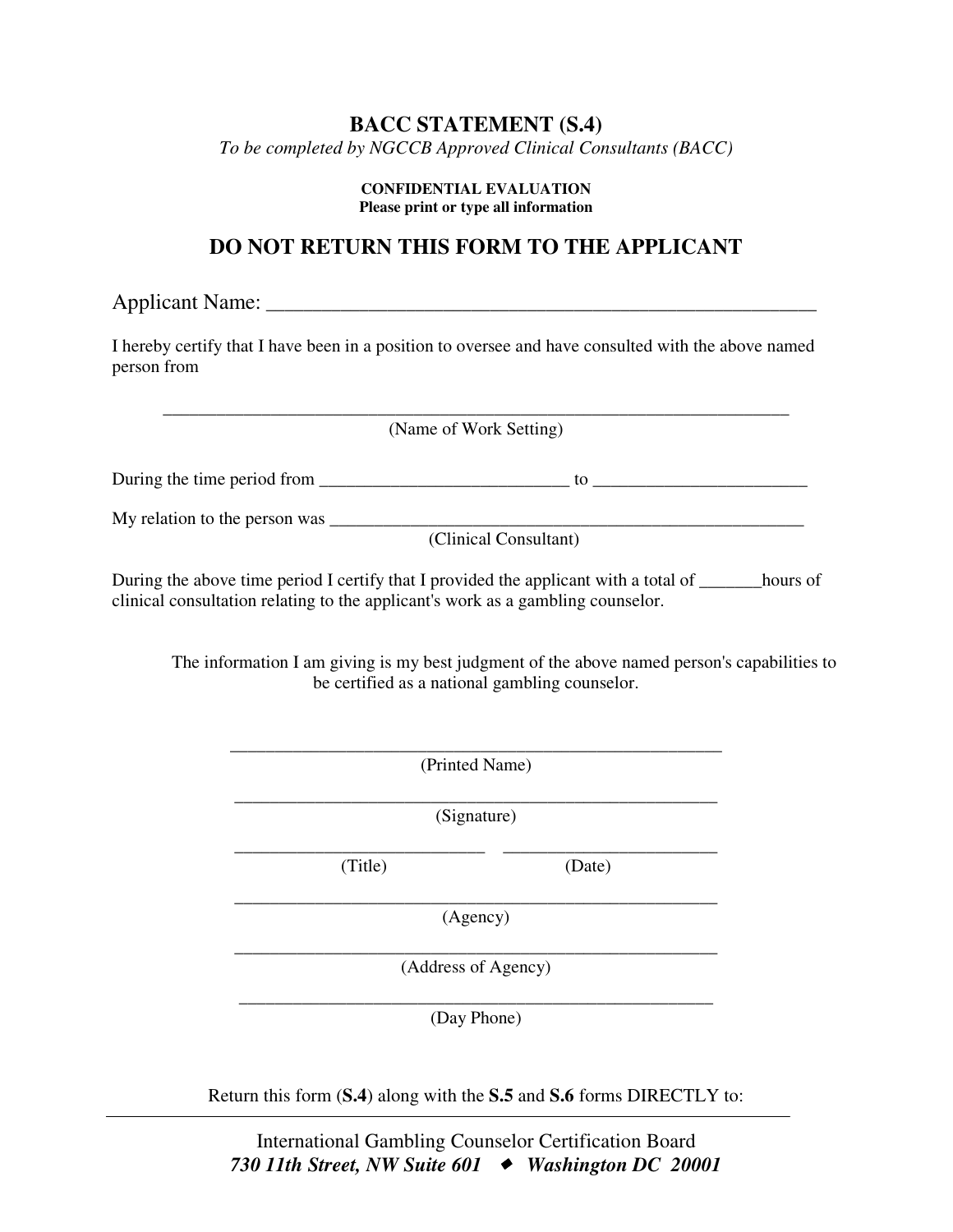## **BACC STATEMENT (S.4)**

*To be completed by NGCCB Approved Clinical Consultants (BACC)* 

#### **CONFIDENTIAL EVALUATION Please print or type all information**

## **DO NOT RETURN THIS FORM TO THE APPLICANT**

Applicant Name: \_\_\_\_\_\_\_\_\_\_\_\_\_\_\_\_\_\_\_\_\_\_\_\_\_\_\_\_\_\_\_\_\_\_\_\_\_\_\_\_\_\_\_\_\_\_\_\_\_\_\_\_\_\_\_\_\_\_\_

I hereby certify that I have been in a position to oversee and have consulted with the above named person from

\_\_\_\_\_\_\_\_\_\_\_\_\_\_\_\_\_\_\_\_\_\_\_\_\_\_\_\_\_\_\_\_\_\_\_\_\_\_\_\_\_\_\_\_\_\_\_\_\_\_\_\_\_\_\_\_\_\_\_\_\_\_\_\_\_\_\_\_\_\_ (Name of Work Setting)

During the time period from  $\frac{1}{\sqrt{2}}$  =  $\frac{1}{\sqrt{2}}$  to  $\frac{1}{\sqrt{2}}$  =  $\frac{1}{\sqrt{2}}$  =  $\frac{1}{\sqrt{2}}$  =  $\frac{1}{\sqrt{2}}$  =  $\frac{1}{\sqrt{2}}$  =  $\frac{1}{\sqrt{2}}$  =  $\frac{1}{\sqrt{2}}$  =  $\frac{1}{\sqrt{2}}$  =  $\frac{1}{\sqrt{2}}$  =  $\frac{1}{\sqrt{2}}$  =  $\frac{1}{\sqrt{2}}$ 

My relation to the person was \_\_\_\_\_\_\_\_\_\_\_\_\_\_\_\_\_\_\_\_\_\_\_\_\_\_\_\_\_\_\_\_\_\_\_\_\_\_\_\_\_\_\_\_\_\_\_\_\_\_\_\_\_

(Clinical Consultant)

During the above time period I certify that I provided the applicant with a total of <u>\_\_\_\_\_\_</u>hours of clinical consultation relating to the applicant's work as a gambling counselor.

The information I am giving is my best judgment of the above named person's capabilities to be certified as a national gambling counselor.

\_\_\_\_\_\_\_\_\_\_\_\_\_\_\_\_\_\_\_\_\_\_\_\_\_\_\_\_\_\_\_\_\_\_\_\_\_\_\_\_\_\_\_\_\_\_\_\_\_\_\_\_\_\_ (Signature)

\_\_\_\_\_\_\_\_\_\_\_\_\_\_\_\_\_\_\_\_\_\_\_\_\_\_\_\_\_\_\_\_\_\_\_\_\_\_\_\_\_\_\_\_\_\_\_\_\_\_\_\_\_\_\_ (Printed Name)

\_\_\_\_\_\_\_\_\_\_\_\_\_\_\_\_\_\_\_\_\_\_\_\_\_\_\_\_ \_\_\_\_\_\_\_\_\_\_\_\_\_\_\_\_\_\_\_\_\_\_\_\_

(Title) (Date)

\_\_\_\_\_\_\_\_\_\_\_\_\_\_\_\_\_\_\_\_\_\_\_\_\_\_\_\_\_\_\_\_\_\_\_\_\_\_\_\_\_\_\_\_\_\_\_\_\_\_\_\_\_\_ (Agency)

\_\_\_\_\_\_\_\_\_\_\_\_\_\_\_\_\_\_\_\_\_\_\_\_\_\_\_\_\_\_\_\_\_\_\_\_\_\_\_\_\_\_\_\_\_\_\_\_\_\_\_\_\_\_ (Address of Agency)

\_\_\_\_\_\_\_\_\_\_\_\_\_\_\_\_\_\_\_\_\_\_\_\_\_\_\_\_\_\_\_\_\_\_\_\_\_\_\_\_\_\_\_\_\_\_\_\_\_\_\_\_\_ (Day Phone)

Return this form (**S.4**) along with the **S.5** and **S.6** forms DIRECTLY to:

International Gambling Counselor Certification Board **730 11th Street, NW Suite 601 → Washington DC 20001**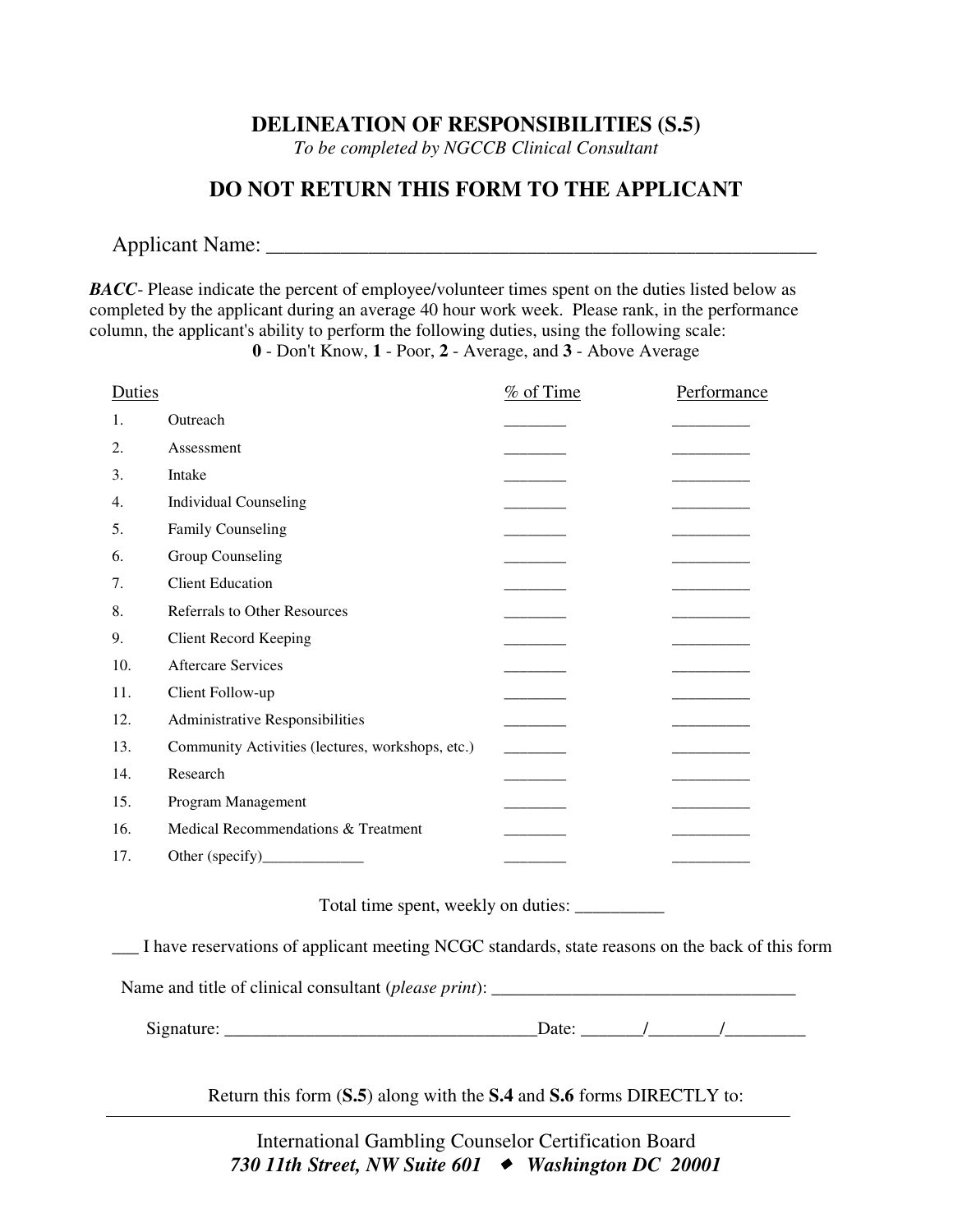## **DELINEATION OF RESPONSIBILITIES (S.5)**

*To be completed by NGCCB Clinical Consultant* 

## **DO NOT RETURN THIS FORM TO THE APPLICANT**

## Applicant Name: \_\_\_\_\_\_\_\_\_\_\_\_\_\_\_\_\_\_\_\_\_\_\_\_\_\_\_\_\_\_\_\_\_\_\_\_\_\_\_\_\_\_\_\_\_\_\_\_\_\_\_\_\_\_\_\_\_\_\_

**BACC**- Please indicate the percent of employee/volunteer times spent on the duties listed below as completed by the applicant during an average 40 hour work week. Please rank, in the performance column, the applicant's ability to perform the following duties, using the following scale: **0** - Don't Know, **1** - Poor, **2** - Average, and **3** - Above Average

| Duties |                                                  | $%$ of Time | Performance |
|--------|--------------------------------------------------|-------------|-------------|
| 1.     | Outreach                                         |             |             |
| 2.     | Assessment                                       |             |             |
| 3.     | Intake                                           |             |             |
| 4.     | <b>Individual Counseling</b>                     |             |             |
| 5.     | <b>Family Counseling</b>                         |             |             |
| 6.     | Group Counseling                                 |             |             |
| 7.     | <b>Client Education</b>                          |             |             |
| 8.     | <b>Referrals to Other Resources</b>              |             |             |
| 9.     | <b>Client Record Keeping</b>                     |             |             |
| 10.    | Aftercare Services                               |             |             |
| 11.    | Client Follow-up                                 |             |             |
| 12.    | Administrative Responsibilities                  |             |             |
| 13.    | Community Activities (lectures, workshops, etc.) |             |             |
| 14.    | Research                                         |             |             |
| 15.    | Program Management                               |             |             |
| 16.    | Medical Recommendations & Treatment              |             |             |
| 17.    |                                                  |             |             |
|        |                                                  |             |             |

Total time spent, weekly on duties: \_\_\_\_\_\_\_\_\_\_

\_\_\_ I have reservations of applicant meeting NCGC standards, state reasons on the back of this form

Name and title of clinical consultant (*please print*):

Signature:  $\Box$ 

Return this form (**S.5**) along with the **S.4** and **S.6** forms DIRECTLY to:

International Gambling Counselor Certification Board **730 11th Street, NW Suite 601 → Washington DC 20001**